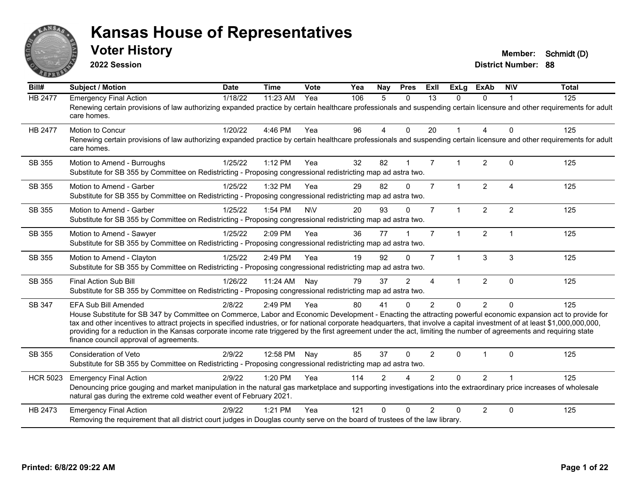

**2022 Session**

**Voter History Member: Schmidt (D)** 

**District Number: 88**

| Bill#           | Subject / Motion                                                                                                                                                                                                                                                                                                                                                                                                                                                                                                                                                                                   | <b>Date</b> | <b>Time</b> | <b>Vote</b> | Yea | Nay      | <b>Pres</b>  | ExII           | <b>ExLg</b>          | ExAb           | <b>NIV</b>     | <b>Total</b> |
|-----------------|----------------------------------------------------------------------------------------------------------------------------------------------------------------------------------------------------------------------------------------------------------------------------------------------------------------------------------------------------------------------------------------------------------------------------------------------------------------------------------------------------------------------------------------------------------------------------------------------------|-------------|-------------|-------------|-----|----------|--------------|----------------|----------------------|----------------|----------------|--------------|
| HB 2477         | <b>Emergency Final Action</b><br>Renewing certain provisions of law authorizing expanded practice by certain healthcare professionals and suspending certain licensure and other requirements for adult<br>care homes.                                                                                                                                                                                                                                                                                                                                                                             | 1/18/22     | 11:23 AM    | Yea         | 106 | 5        | $\mathbf{0}$ | 13             | $\Omega$             | $\Omega$       | -1             | 125          |
| <b>HB 2477</b>  | Motion to Concur<br>Renewing certain provisions of law authorizing expanded practice by certain healthcare professionals and suspending certain licensure and other requirements for adult<br>care homes.                                                                                                                                                                                                                                                                                                                                                                                          | 1/20/22     | 4:46 PM     | Yea         | 96  | 4        | $\mathbf 0$  | 20             | $\blacktriangleleft$ | 4              | $\Omega$       | 125          |
| SB 355          | Motion to Amend - Burroughs<br>Substitute for SB 355 by Committee on Redistricting - Proposing congressional redistricting map ad astra two.                                                                                                                                                                                                                                                                                                                                                                                                                                                       | 1/25/22     | $1:12$ PM   | Yea         | 32  | 82       |              | $\overline{7}$ | $\mathbf{1}$         | $\overline{2}$ | $\Omega$       | 125          |
| SB 355          | Motion to Amend - Garber<br>Substitute for SB 355 by Committee on Redistricting - Proposing congressional redistricting map ad astra two.                                                                                                                                                                                                                                                                                                                                                                                                                                                          | 1/25/22     | 1:32 PM     | Yea         | 29  | 82       | $\Omega$     | $\overline{7}$ | $\mathbf{1}$         | $\overline{2}$ | $\overline{4}$ | 125          |
| SB 355          | Motion to Amend - Garber<br>Substitute for SB 355 by Committee on Redistricting - Proposing congressional redistricting map ad astra two.                                                                                                                                                                                                                                                                                                                                                                                                                                                          | 1/25/22     | 1:54 PM     | <b>NV</b>   | 20  | 93       | $\Omega$     | $\overline{7}$ | $\mathbf{1}$         | $\overline{2}$ | $\overline{2}$ | 125          |
| SB 355          | Motion to Amend - Sawyer<br>Substitute for SB 355 by Committee on Redistricting - Proposing congressional redistricting map ad astra two.                                                                                                                                                                                                                                                                                                                                                                                                                                                          | 1/25/22     | 2:09 PM     | Yea         | 36  | 77       |              | $\overline{7}$ | $\mathbf{1}$         | $\overline{2}$ | $\overline{1}$ | 125          |
| SB 355          | Motion to Amend - Clayton<br>Substitute for SB 355 by Committee on Redistricting - Proposing congressional redistricting map ad astra two.                                                                                                                                                                                                                                                                                                                                                                                                                                                         | 1/25/22     | 2:49 PM     | Yea         | 19  | 92       | $\Omega$     | $\overline{7}$ | $\mathbf{1}$         | 3              | 3              | 125          |
| SB 355          | <b>Final Action Sub Bill</b><br>Substitute for SB 355 by Committee on Redistricting - Proposing congressional redistricting map ad astra two.                                                                                                                                                                                                                                                                                                                                                                                                                                                      | 1/26/22     | 11:24 AM    | Nay         | 79  | 37       | 2            | $\overline{4}$ | 1                    | $\overline{2}$ | $\Omega$       | 125          |
| SB 347          | <b>EFA Sub Bill Amended</b><br>House Substitute for SB 347 by Committee on Commerce, Labor and Economic Development - Enacting the attracting powerful economic expansion act to provide for<br>tax and other incentives to attract projects in specified industries, or for national corporate headquarters, that involve a capital investment of at least \$1,000,000,000,000,<br>providing for a reduction in the Kansas corporate income rate triggered by the first agreement under the act, limiting the number of agreements and requiring state<br>finance council approval of agreements. | 2/8/22      | 2:49 PM     | Yea         | 80  | 41       | $\Omega$     | $\overline{2}$ | $\Omega$             | $\overline{2}$ | $\Omega$       | 125          |
| SB 355          | <b>Consideration of Veto</b><br>Substitute for SB 355 by Committee on Redistricting - Proposing congressional redistricting map ad astra two.                                                                                                                                                                                                                                                                                                                                                                                                                                                      | 2/9/22      | 12:58 PM    | Nay         | 85  | 37       | $\Omega$     | $\overline{2}$ | $\Omega$             |                | $\Omega$       | 125          |
| <b>HCR 5023</b> | <b>Emergency Final Action</b><br>Denouncing price gouging and market manipulation in the natural gas marketplace and supporting investigations into the extraordinary price increases of wholesale<br>natural gas during the extreme cold weather event of February 2021.                                                                                                                                                                                                                                                                                                                          | 2/9/22      | 1:20 PM     | Yea         | 114 | 2        | 4            | $\overline{2}$ | $\Omega$             | 2              |                | 125          |
| HB 2473         | <b>Emergency Final Action</b><br>Removing the requirement that all district court judges in Douglas county serve on the board of trustees of the law library.                                                                                                                                                                                                                                                                                                                                                                                                                                      | 2/9/22      | 1:21 PM     | Yea         | 121 | $\Omega$ | $\Omega$     | $\mathcal{P}$  | $\Omega$             | $\overline{2}$ | $\mathbf 0$    | 125          |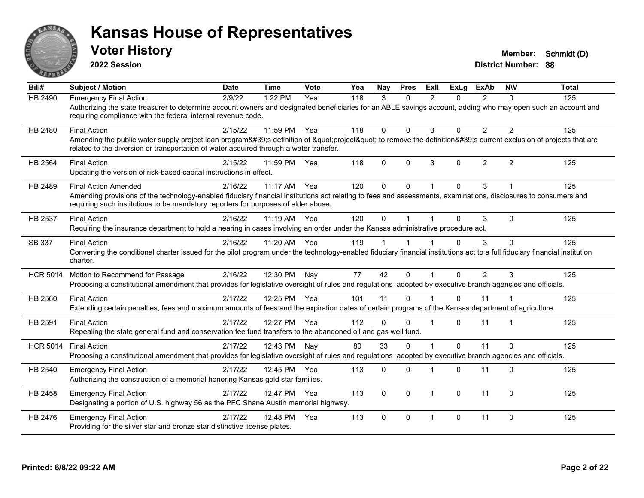

**2022 Session**

| <b>Subject / Motion</b>         | <b>Date</b> | <b>Time</b> | Vote                                                                                                                                                                                                            | Yea                                                                                                                                                                                                                                                                   | Nay                                                                                | <b>Pres</b>  | <b>Exll</b>                                                                                                  | <b>ExLg</b> | <b>ExAb</b>    | <b>NIV</b>                                                                                                                      | <b>Total</b>                                                                                                                                                                                                                                                                                                                                                                                                                                                                                                                                                                                                                                                                                                                                                                                                                                                                                                                                                                                                                                                                                                                                          |
|---------------------------------|-------------|-------------|-----------------------------------------------------------------------------------------------------------------------------------------------------------------------------------------------------------------|-----------------------------------------------------------------------------------------------------------------------------------------------------------------------------------------------------------------------------------------------------------------------|------------------------------------------------------------------------------------|--------------|--------------------------------------------------------------------------------------------------------------|-------------|----------------|---------------------------------------------------------------------------------------------------------------------------------|-------------------------------------------------------------------------------------------------------------------------------------------------------------------------------------------------------------------------------------------------------------------------------------------------------------------------------------------------------------------------------------------------------------------------------------------------------------------------------------------------------------------------------------------------------------------------------------------------------------------------------------------------------------------------------------------------------------------------------------------------------------------------------------------------------------------------------------------------------------------------------------------------------------------------------------------------------------------------------------------------------------------------------------------------------------------------------------------------------------------------------------------------------|
| <b>Emergency Final Action</b>   | 2/9/22      | 1:22 PM     | Yea                                                                                                                                                                                                             | 118                                                                                                                                                                                                                                                                   | 3                                                                                  | $\mathbf{0}$ | $\overline{2}$                                                                                               | $\Omega$    | 2              | $\Omega$                                                                                                                        | 125                                                                                                                                                                                                                                                                                                                                                                                                                                                                                                                                                                                                                                                                                                                                                                                                                                                                                                                                                                                                                                                                                                                                                   |
|                                 |             |             |                                                                                                                                                                                                                 |                                                                                                                                                                                                                                                                       |                                                                                    |              |                                                                                                              |             |                |                                                                                                                                 |                                                                                                                                                                                                                                                                                                                                                                                                                                                                                                                                                                                                                                                                                                                                                                                                                                                                                                                                                                                                                                                                                                                                                       |
| <b>Final Action</b>             | 2/15/22     | 11:59 PM    | Yea                                                                                                                                                                                                             | 118                                                                                                                                                                                                                                                                   | 0                                                                                  | $\mathbf 0$  | 3                                                                                                            | 0           | $\overline{2}$ | $\overline{2}$                                                                                                                  | 125                                                                                                                                                                                                                                                                                                                                                                                                                                                                                                                                                                                                                                                                                                                                                                                                                                                                                                                                                                                                                                                                                                                                                   |
|                                 |             |             |                                                                                                                                                                                                                 |                                                                                                                                                                                                                                                                       |                                                                                    |              |                                                                                                              |             |                |                                                                                                                                 |                                                                                                                                                                                                                                                                                                                                                                                                                                                                                                                                                                                                                                                                                                                                                                                                                                                                                                                                                                                                                                                                                                                                                       |
| <b>Final Action</b>             | 2/15/22     | 11:59 PM    | Yea                                                                                                                                                                                                             | 118                                                                                                                                                                                                                                                                   | $\mathbf 0$                                                                        | $\mathbf 0$  | 3                                                                                                            | $\Omega$    | $\overline{2}$ | $\overline{2}$                                                                                                                  | 125                                                                                                                                                                                                                                                                                                                                                                                                                                                                                                                                                                                                                                                                                                                                                                                                                                                                                                                                                                                                                                                                                                                                                   |
| <b>Final Action Amended</b>     | 2/16/22     | 11:17 AM    | Yea                                                                                                                                                                                                             | 120                                                                                                                                                                                                                                                                   | 0                                                                                  | $\mathbf 0$  |                                                                                                              | 0           | 3              |                                                                                                                                 | 125                                                                                                                                                                                                                                                                                                                                                                                                                                                                                                                                                                                                                                                                                                                                                                                                                                                                                                                                                                                                                                                                                                                                                   |
|                                 |             |             |                                                                                                                                                                                                                 |                                                                                                                                                                                                                                                                       |                                                                                    |              |                                                                                                              |             |                |                                                                                                                                 |                                                                                                                                                                                                                                                                                                                                                                                                                                                                                                                                                                                                                                                                                                                                                                                                                                                                                                                                                                                                                                                                                                                                                       |
| <b>Final Action</b>             | 2/16/22     | $11:19$ AM  | Yea                                                                                                                                                                                                             | 120                                                                                                                                                                                                                                                                   | 0                                                                                  |              |                                                                                                              | $\Omega$    | 3              | $\Omega$                                                                                                                        | 125                                                                                                                                                                                                                                                                                                                                                                                                                                                                                                                                                                                                                                                                                                                                                                                                                                                                                                                                                                                                                                                                                                                                                   |
|                                 |             |             |                                                                                                                                                                                                                 |                                                                                                                                                                                                                                                                       |                                                                                    |              |                                                                                                              |             |                |                                                                                                                                 |                                                                                                                                                                                                                                                                                                                                                                                                                                                                                                                                                                                                                                                                                                                                                                                                                                                                                                                                                                                                                                                                                                                                                       |
| <b>Final Action</b>             | 2/16/22     | 11:20 AM    | Yea                                                                                                                                                                                                             | 119                                                                                                                                                                                                                                                                   |                                                                                    |              |                                                                                                              | $\Omega$    | 3              | $\Omega$                                                                                                                        | 125                                                                                                                                                                                                                                                                                                                                                                                                                                                                                                                                                                                                                                                                                                                                                                                                                                                                                                                                                                                                                                                                                                                                                   |
| charter.                        |             |             |                                                                                                                                                                                                                 |                                                                                                                                                                                                                                                                       |                                                                                    |              |                                                                                                              |             |                |                                                                                                                                 |                                                                                                                                                                                                                                                                                                                                                                                                                                                                                                                                                                                                                                                                                                                                                                                                                                                                                                                                                                                                                                                                                                                                                       |
| Motion to Recommend for Passage | 2/16/22     | 12:30 PM    | Nay                                                                                                                                                                                                             | 77                                                                                                                                                                                                                                                                    | 42                                                                                 | $\Omega$     |                                                                                                              | $\Omega$    | 2              | 3                                                                                                                               | 125                                                                                                                                                                                                                                                                                                                                                                                                                                                                                                                                                                                                                                                                                                                                                                                                                                                                                                                                                                                                                                                                                                                                                   |
|                                 |             |             |                                                                                                                                                                                                                 |                                                                                                                                                                                                                                                                       |                                                                                    |              |                                                                                                              |             |                |                                                                                                                                 |                                                                                                                                                                                                                                                                                                                                                                                                                                                                                                                                                                                                                                                                                                                                                                                                                                                                                                                                                                                                                                                                                                                                                       |
| <b>Final Action</b>             | 2/17/22     | 12:25 PM    |                                                                                                                                                                                                                 | 101                                                                                                                                                                                                                                                                   | 11                                                                                 | $\Omega$     |                                                                                                              | $\Omega$    | 11             |                                                                                                                                 | 125                                                                                                                                                                                                                                                                                                                                                                                                                                                                                                                                                                                                                                                                                                                                                                                                                                                                                                                                                                                                                                                                                                                                                   |
|                                 |             |             |                                                                                                                                                                                                                 |                                                                                                                                                                                                                                                                       |                                                                                    |              |                                                                                                              |             |                |                                                                                                                                 |                                                                                                                                                                                                                                                                                                                                                                                                                                                                                                                                                                                                                                                                                                                                                                                                                                                                                                                                                                                                                                                                                                                                                       |
| <b>Final Action</b>             | 2/17/22     | 12:27 PM    | Yea                                                                                                                                                                                                             | 112                                                                                                                                                                                                                                                                   | $\Omega$                                                                           | $\Omega$     | $\mathbf 1$                                                                                                  | $\Omega$    | 11             |                                                                                                                                 | 125                                                                                                                                                                                                                                                                                                                                                                                                                                                                                                                                                                                                                                                                                                                                                                                                                                                                                                                                                                                                                                                                                                                                                   |
|                                 |             |             |                                                                                                                                                                                                                 |                                                                                                                                                                                                                                                                       |                                                                                    |              |                                                                                                              |             |                |                                                                                                                                 |                                                                                                                                                                                                                                                                                                                                                                                                                                                                                                                                                                                                                                                                                                                                                                                                                                                                                                                                                                                                                                                                                                                                                       |
| <b>Final Action</b>             | 2/17/22     | 12:43 PM    | Nav                                                                                                                                                                                                             | 80                                                                                                                                                                                                                                                                    | 33                                                                                 | $\Omega$     |                                                                                                              | $\Omega$    | 11             | $\Omega$                                                                                                                        | 125                                                                                                                                                                                                                                                                                                                                                                                                                                                                                                                                                                                                                                                                                                                                                                                                                                                                                                                                                                                                                                                                                                                                                   |
|                                 |             |             |                                                                                                                                                                                                                 |                                                                                                                                                                                                                                                                       |                                                                                    |              |                                                                                                              |             |                |                                                                                                                                 |                                                                                                                                                                                                                                                                                                                                                                                                                                                                                                                                                                                                                                                                                                                                                                                                                                                                                                                                                                                                                                                                                                                                                       |
| <b>Emergency Final Action</b>   | 2/17/22     | 12:45 PM    | Yea                                                                                                                                                                                                             | 113                                                                                                                                                                                                                                                                   | 0                                                                                  | $\Omega$     | 1                                                                                                            | $\Omega$    | 11             | $\Omega$                                                                                                                        | 125                                                                                                                                                                                                                                                                                                                                                                                                                                                                                                                                                                                                                                                                                                                                                                                                                                                                                                                                                                                                                                                                                                                                                   |
|                                 |             |             |                                                                                                                                                                                                                 |                                                                                                                                                                                                                                                                       |                                                                                    |              |                                                                                                              |             |                |                                                                                                                                 |                                                                                                                                                                                                                                                                                                                                                                                                                                                                                                                                                                                                                                                                                                                                                                                                                                                                                                                                                                                                                                                                                                                                                       |
| <b>Emergency Final Action</b>   | 2/17/22     | 12:47 PM    | Yea                                                                                                                                                                                                             | 113                                                                                                                                                                                                                                                                   | $\Omega$                                                                           | $\Omega$     | $\mathbf{1}$                                                                                                 | $\Omega$    | 11             | $\Omega$                                                                                                                        | 125                                                                                                                                                                                                                                                                                                                                                                                                                                                                                                                                                                                                                                                                                                                                                                                                                                                                                                                                                                                                                                                                                                                                                   |
|                                 |             |             |                                                                                                                                                                                                                 |                                                                                                                                                                                                                                                                       |                                                                                    |              |                                                                                                              |             |                |                                                                                                                                 |                                                                                                                                                                                                                                                                                                                                                                                                                                                                                                                                                                                                                                                                                                                                                                                                                                                                                                                                                                                                                                                                                                                                                       |
| <b>Emergency Final Action</b>   | 2/17/22     | 12:48 PM    | Yea                                                                                                                                                                                                             | 113                                                                                                                                                                                                                                                                   | 0                                                                                  | $\Omega$     | $\mathbf{1}$                                                                                                 | $\Omega$    | 11             | $\Omega$                                                                                                                        | 125                                                                                                                                                                                                                                                                                                                                                                                                                                                                                                                                                                                                                                                                                                                                                                                                                                                                                                                                                                                                                                                                                                                                                   |
|                                 |             |             |                                                                                                                                                                                                                 |                                                                                                                                                                                                                                                                       |                                                                                    |              |                                                                                                              |             |                |                                                                                                                                 |                                                                                                                                                                                                                                                                                                                                                                                                                                                                                                                                                                                                                                                                                                                                                                                                                                                                                                                                                                                                                                                                                                                                                       |
|                                 |             |             | requiring compliance with the federal internal revenue code.<br>Updating the version of risk-based capital instructions in effect.<br>Providing for the silver star and bronze star distinctive license plates. | related to the diversion or transportation of water acquired through a water transfer.<br>requiring such institutions to be mandatory reporters for purposes of elder abuse.<br>Yea<br>Authorizing the construction of a memorial honoring Kansas gold star families. | Designating a portion of U.S. highway 56 as the PFC Shane Austin memorial highway. |              | Repealing the state general fund and conservation fee fund transfers to the abandoned oil and gas well fund. |             |                | Requiring the insurance department to hold a hearing in cases involving an order under the Kansas administrative procedure act. | Authorizing the state treasurer to determine account owners and designated beneficiaries for an ABLE savings account, adding who may open such an account and<br>Amending the public water supply project loan program's definition of "project" to remove the definition's current exclusion of projects that are<br>Amending provisions of the technology-enabled fiduciary financial institutions act relating to fees and assessments, examinations, disclosures to consumers and<br>Converting the conditional charter issued for the pilot program under the technology-enabled fiduciary financial institutions act to a full fiduciary financial institution<br>Proposing a constitutional amendment that provides for legislative oversight of rules and regulations adopted by executive branch agencies and officials.<br>Extending certain penalties, fees and maximum amounts of fees and the expiration dates of certain programs of the Kansas department of agriculture.<br>Proposing a constitutional amendment that provides for legislative oversight of rules and regulations adopted by executive branch agencies and officials. |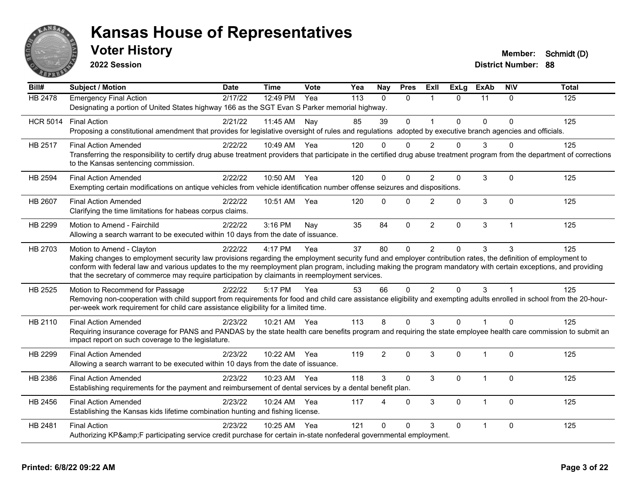

**2022 Session**

| Bill#           | <b>Subject / Motion</b>                                                                                                                                                                                                                                                                                                                                                                                                                                         | <b>Date</b> | <b>Time</b> | Vote | Yea | Nay            | <b>Pres</b>  | ExII           | <b>ExLg</b>  | <b>ExAb</b>    | <b>NIV</b>     | <b>Total</b> |
|-----------------|-----------------------------------------------------------------------------------------------------------------------------------------------------------------------------------------------------------------------------------------------------------------------------------------------------------------------------------------------------------------------------------------------------------------------------------------------------------------|-------------|-------------|------|-----|----------------|--------------|----------------|--------------|----------------|----------------|--------------|
| <b>HB 2478</b>  | <b>Emergency Final Action</b>                                                                                                                                                                                                                                                                                                                                                                                                                                   | 2/17/22     | 12:49 PM    | Yea  | 113 | $\Omega$       | $\mathbf{0}$ | $\mathbf{1}$   | $\Omega$     | 11             | $\Omega$       | 125          |
|                 | Designating a portion of United States highway 166 as the SGT Evan S Parker memorial highway.                                                                                                                                                                                                                                                                                                                                                                   |             |             |      |     |                |              |                |              |                |                |              |
| <b>HCR 5014</b> | <b>Final Action</b>                                                                                                                                                                                                                                                                                                                                                                                                                                             | 2/21/22     | 11:45 AM    | Nay  | 85  | 39             | $\mathbf 0$  | $\overline{1}$ | $\Omega$     | $\Omega$       | $\Omega$       | 125          |
|                 | Proposing a constitutional amendment that provides for legislative oversight of rules and regulations adopted by executive branch agencies and officials.                                                                                                                                                                                                                                                                                                       |             |             |      |     |                |              |                |              |                |                |              |
| <b>HB 2517</b>  | <b>Final Action Amended</b><br>Transferring the responsibility to certify drug abuse treatment providers that participate in the certified drug abuse treatment program from the department of corrections<br>to the Kansas sentencing commission.                                                                                                                                                                                                              | 2/22/22     | 10:49 AM    | Yea  | 120 | $\Omega$       | 0            | $\mathcal{P}$  | 0            | 3              | ∩              | 125          |
| <b>HB 2594</b>  | <b>Final Action Amended</b><br>Exempting certain modifications on antique vehicles from vehicle identification number offense seizures and dispositions.                                                                                                                                                                                                                                                                                                        | 2/22/22     | 10:50 AM    | Yea  | 120 | $\Omega$       | $\Omega$     | $\overline{2}$ | $\Omega$     | 3              | $\Omega$       | 125          |
| HB 2607         | <b>Final Action Amended</b><br>Clarifying the time limitations for habeas corpus claims.                                                                                                                                                                                                                                                                                                                                                                        | 2/22/22     | 10:51 AM    | Yea  | 120 | $\Omega$       | $\mathbf{0}$ | 2              | $\Omega$     | 3              | $\mathbf{0}$   | 125          |
| HB 2299         | Motion to Amend - Fairchild<br>Allowing a search warrant to be executed within 10 days from the date of issuance.                                                                                                                                                                                                                                                                                                                                               | 2/22/22     | 3:16 PM     | Nay  | 35  | 84             | $\mathbf{0}$ | $\overline{2}$ | $\mathbf{0}$ | 3              | $\overline{1}$ | 125          |
| HB 2703         | Motion to Amend - Clayton<br>Making changes to employment security law provisions regarding the employment security fund and employer contribution rates, the definition of employment to<br>conform with federal law and various updates to the my reemployment plan program, including making the program mandatory with certain exceptions, and providing<br>that the secretary of commerce may require participation by claimants in reemployment services. | 2/22/22     | 4:17 PM     | Yea  | 37  | 80             | $\mathbf 0$  | 2              | $\Omega$     | 3              | 3              | 125          |
| HB 2525         | Motion to Recommend for Passage<br>Removing non-cooperation with child support from requirements for food and child care assistance eligibility and exempting adults enrolled in school from the 20-hour-<br>per-week work requirement for child care assistance eligibility for a limited time.                                                                                                                                                                | 2/22/22     | 5:17 PM     | Yea  | 53  | 66             | $\Omega$     | 2              | $\Omega$     | 3              |                | 125          |
| HB 2110         | <b>Final Action Amended</b>                                                                                                                                                                                                                                                                                                                                                                                                                                     | 2/23/22     | 10:21 AM    | Yea  | 113 | 8              | $\mathbf{0}$ | 3              | $\Omega$     |                | $\Omega$       | 125          |
|                 | Requiring insurance coverage for PANS and PANDAS by the state health care benefits program and requiring the state employee health care commission to submit an<br>impact report on such coverage to the legislature.                                                                                                                                                                                                                                           |             |             |      |     |                |              |                |              |                |                |              |
| HB 2299         | <b>Final Action Amended</b><br>Allowing a search warrant to be executed within 10 days from the date of issuance.                                                                                                                                                                                                                                                                                                                                               | 2/23/22     | 10:22 AM    | Yea  | 119 | $\overline{2}$ | $\mathbf{0}$ | 3              | $\Omega$     | $\overline{1}$ | $\Omega$       | 125          |
| HB 2386         | <b>Final Action Amended</b><br>Establishing requirements for the payment and reimbursement of dental services by a dental benefit plan.                                                                                                                                                                                                                                                                                                                         | 2/23/22     | $10:23$ AM  | Yea  | 118 | 3              | $\Omega$     | 3              | $\Omega$     | 1              | $\Omega$       | 125          |
| HB 2456         | <b>Final Action Amended</b><br>Establishing the Kansas kids lifetime combination hunting and fishing license.                                                                                                                                                                                                                                                                                                                                                   | 2/23/22     | 10:24 AM    | Yea  | 117 | 4              | $\Omega$     | 3              | $\Omega$     | 1              | $\Omega$       | 125          |
| HB 2481         | <b>Final Action</b><br>Authorizing KP&F participating service credit purchase for certain in-state nonfederal governmental employment.                                                                                                                                                                                                                                                                                                                          | 2/23/22     | 10:25 AM    | Yea  | 121 | $\Omega$       | $\Omega$     | 3              | 0            | 1              | $\Omega$       | 125          |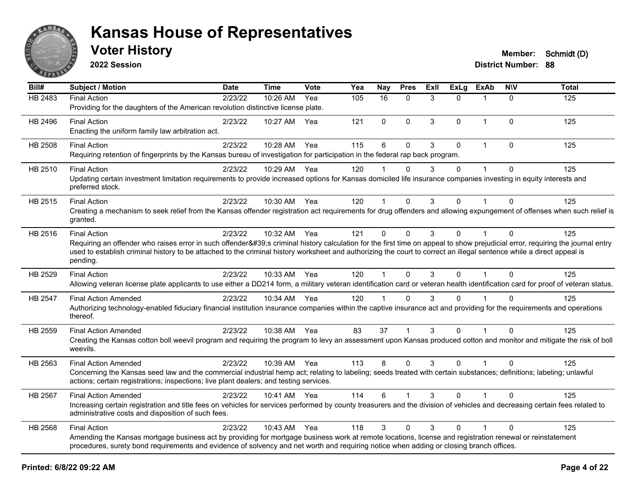

**2022 Session**

| Bill#   | Subject / Motion                                                                                                                                                                                                                                                                                                                                                                       | <b>Date</b> | <b>Time</b>  | Vote | Yea | Nay            | <b>Pres</b> | ExIl | <b>ExLg</b> | <b>ExAb</b>    | <b>NIV</b>   | <b>Total</b> |
|---------|----------------------------------------------------------------------------------------------------------------------------------------------------------------------------------------------------------------------------------------------------------------------------------------------------------------------------------------------------------------------------------------|-------------|--------------|------|-----|----------------|-------------|------|-------------|----------------|--------------|--------------|
| HB 2483 | <b>Final Action</b><br>Providing for the daughters of the American revolution distinctive license plate.                                                                                                                                                                                                                                                                               | 2/23/22     | 10:26 AM     | Yea  | 105 | 16             | $\Omega$    | 3    | $\Omega$    | 1              | $\Omega$     | 125          |
| HB 2496 | <b>Final Action</b><br>Enacting the uniform family law arbitration act.                                                                                                                                                                                                                                                                                                                | 2/23/22     | 10:27 AM     | Yea  | 121 | $\mathbf{0}$   | $\Omega$    | 3    | 0           | $\mathbf 1$    | $\Omega$     | 125          |
| HB 2508 | <b>Final Action</b><br>Requiring retention of fingerprints by the Kansas bureau of investigation for participation in the federal rap back program.                                                                                                                                                                                                                                    | 2/23/22     | 10:28 AM     | Yea  | 115 | 6              | $\Omega$    | 3    | $\Omega$    | $\overline{1}$ | $\Omega$     | 125          |
| HB 2510 | <b>Final Action</b><br>Updating certain investment limitation requirements to provide increased options for Kansas domiciled life insurance companies investing in equity interests and<br>preferred stock.                                                                                                                                                                            | 2/23/22     | 10:29 AM Yea |      | 120 |                | $\Omega$    | 3    | 0           | 1              | $\Omega$     | 125          |
| HB 2515 | <b>Final Action</b><br>Creating a mechanism to seek relief from the Kansas offender registration act requirements for drug offenders and allowing expungement of offenses when such relief is<br>granted.                                                                                                                                                                              | 2/23/22     | 10:30 AM Yea |      | 120 | $\overline{1}$ | $\Omega$    | 3    | $\Omega$    |                | $\Omega$     | 125          |
| HB 2516 | <b>Final Action</b><br>Requiring an offender who raises error in such offender's criminal history calculation for the first time on appeal to show prejudicial error, requiring the journal entry<br>used to establish criminal history to be attached to the criminal history worksheet and authorizing the court to correct an illegal sentence while a direct appeal is<br>pending. | 2/23/22     | 10:32 AM Yea |      | 121 | $\Omega$       | $\Omega$    | 3    | $\Omega$    | 1              | $\Omega$     | 125          |
| HB 2529 | <b>Final Action</b><br>Allowing veteran license plate applicants to use either a DD214 form, a military veteran identification card or veteran health identification card for proof of veteran status.                                                                                                                                                                                 | 2/23/22     | 10:33 AM Yea |      | 120 | 1              | $\Omega$    | 3    | $\Omega$    |                | $\Omega$     | 125          |
| HB 2547 | <b>Final Action Amended</b><br>Authorizing technology-enabled fiduciary financial institution insurance companies within the captive insurance act and providing for the requirements and operations<br>thereof.                                                                                                                                                                       | 2/23/22     | 10:34 AM Yea |      | 120 | $\overline{1}$ | $\Omega$    | 3    | 0           |                | $\Omega$     | 125          |
| HB 2559 | <b>Final Action Amended</b><br>Creating the Kansas cotton boll weevil program and requiring the program to levy an assessment upon Kansas produced cotton and monitor and mitigate the risk of boll<br>weevils.                                                                                                                                                                        | 2/23/22     | 10:38 AM Yea |      | 83  | 37             | 1           | 3    | 0           |                | $\Omega$     | 125          |
| HB 2563 | <b>Final Action Amended</b><br>Concerning the Kansas seed law and the commercial industrial hemp act; relating to labeling; seeds treated with certain substances; definitions; labeling; unlawful<br>actions; certain registrations; inspections; live plant dealers; and testing services.                                                                                           | 2/23/22     | 10:39 AM Yea |      | 113 | 8              | $\Omega$    | 3    | $\Omega$    |                | $\Omega$     | 125          |
| HB 2567 | <b>Final Action Amended</b><br>Increasing certain registration and title fees on vehicles for services performed by county treasurers and the division of vehicles and decreasing certain fees related to<br>administrative costs and disposition of such fees.                                                                                                                        | 2/23/22     | 10:41 AM Yea |      | 114 | 6              |             | 3    | 0           |                | $\Omega$     | 125          |
| HB 2568 | <b>Final Action</b><br>Amending the Kansas mortgage business act by providing for mortgage business work at remote locations, license and registration renewal or reinstatement<br>procedures, surety bond requirements and evidence of solvency and net worth and requiring notice when adding or closing branch offices.                                                             | 2/23/22     | 10:43 AM     | Yea  | 118 | 3              | $\Omega$    | 3    | 0           |                | $\mathbf{0}$ | 125          |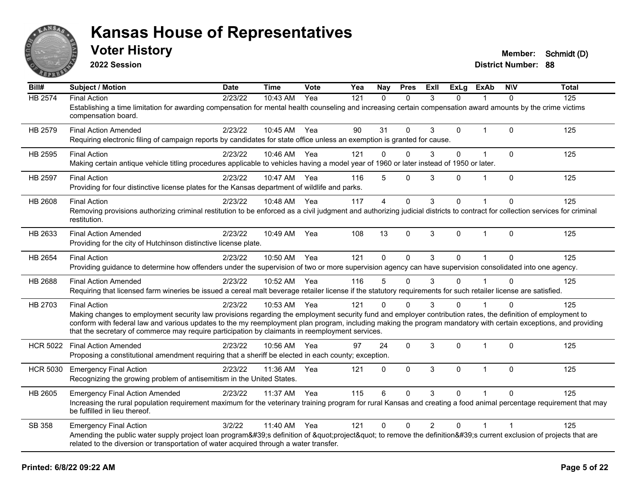

**2022 Session**

| Bill#           | <b>Subject / Motion</b>                                                                                                                                                                                                                                                                                                                                                                                                                                   | <b>Date</b> | <b>Time</b>  | Vote | Yea | Nav            | <b>Pres</b>  | Exll           | <b>ExLg</b> | <b>ExAb</b>  | <b>NIV</b>   | <b>Total</b> |
|-----------------|-----------------------------------------------------------------------------------------------------------------------------------------------------------------------------------------------------------------------------------------------------------------------------------------------------------------------------------------------------------------------------------------------------------------------------------------------------------|-------------|--------------|------|-----|----------------|--------------|----------------|-------------|--------------|--------------|--------------|
| HB 2574         | <b>Final Action</b><br>Establishing a time limitation for awarding compensation for mental health counseling and increasing certain compensation award amounts by the crime victims<br>compensation board.                                                                                                                                                                                                                                                | 2/23/22     | 10:43 AM     | Yea  | 121 | $\Omega$       | $\mathbf{0}$ | 3              | $\Omega$    |              | $\mathbf{0}$ | 125          |
| HB 2579         | <b>Final Action Amended</b><br>Requiring electronic filing of campaign reports by candidates for state office unless an exemption is granted for cause.                                                                                                                                                                                                                                                                                                   | 2/23/22     | 10:45 AM     | Yea  | 90  | 31             | $\mathbf 0$  | 3              | 0           | $\mathbf 1$  | $\Omega$     | 125          |
| HB 2595         | <b>Final Action</b><br>Making certain antique vehicle titling procedures applicable to vehicles having a model year of 1960 or later instead of 1950 or later.                                                                                                                                                                                                                                                                                            | 2/23/22     | 10:46 AM Yea |      | 121 | 0              | $\Omega$     | 3              | 0           |              | $\Omega$     | 125          |
| HB 2597         | <b>Final Action</b><br>Providing for four distinctive license plates for the Kansas department of wildlife and parks.                                                                                                                                                                                                                                                                                                                                     | 2/23/22     | 10:47 AM Yea |      | 116 | 5              | $\mathbf{0}$ | 3              | 0           | $\mathbf 1$  | $\Omega$     | 125          |
| HB 2608         | <b>Final Action</b><br>Removing provisions authorizing criminal restitution to be enforced as a civil judgment and authorizing judicial districts to contract for collection services for criminal<br>restitution.                                                                                                                                                                                                                                        | 2/23/22     | 10:48 AM     | Yea  | 117 | $\overline{4}$ | $\mathbf 0$  | 3              | $\Omega$    | $\mathbf{1}$ | $\Omega$     | 125          |
| HB 2633         | <b>Final Action Amended</b><br>Providing for the city of Hutchinson distinctive license plate.                                                                                                                                                                                                                                                                                                                                                            | 2/23/22     | 10:49 AM     | Yea  | 108 | 13             | $\Omega$     | 3              | $\Omega$    | $\mathbf 1$  | 0            | 125          |
| HB 2654         | <b>Final Action</b><br>Providing guidance to determine how offenders under the supervision of two or more supervision agency can have supervision consolidated into one agency.                                                                                                                                                                                                                                                                           | 2/23/22     | 10:50 AM     | Yea  | 121 | $\mathbf{0}$   | $\mathbf{0}$ | 3              | 0           | $\mathbf{1}$ | 0            | 125          |
| HB 2688         | <b>Final Action Amended</b><br>Requiring that licensed farm wineries be issued a cereal malt beverage retailer license if the statutory requirements for such retailer license are satisfied.                                                                                                                                                                                                                                                             | 2/23/22     | 10:52 AM     | Yea  | 116 | 5              | 0            | 3              | 0           |              | $\Omega$     | 125          |
| HB 2703         | <b>Final Action</b><br>Making changes to employment security law provisions regarding the employment security fund and employer contribution rates, the definition of employment to<br>conform with federal law and various updates to the my reemployment plan program, including making the program mandatory with certain exceptions, and providing<br>that the secretary of commerce may require participation by claimants in reemployment services. | 2/23/22     | 10:53 AM     | Yea  | 121 | $\Omega$       | $\Omega$     | 3              | $\Omega$    |              | U            | 125          |
| <b>HCR 5022</b> | <b>Final Action Amended</b><br>Proposing a constitutional amendment requiring that a sheriff be elected in each county; exception.                                                                                                                                                                                                                                                                                                                        | 2/23/22     | 10:56 AM     | Yea  | 97  | 24             | $\mathbf{0}$ | 3              | $\Omega$    | $\mathbf 1$  | $\Omega$     | 125          |
| <b>HCR 5030</b> | <b>Emergency Final Action</b><br>Recognizing the growing problem of antisemitism in the United States.                                                                                                                                                                                                                                                                                                                                                    | 2/23/22     | 11:36 AM     | Yea  | 121 | 0              | $\mathbf{0}$ | 3              | $\Omega$    | $\mathbf{1}$ | $\Omega$     | 125          |
| HB 2605         | <b>Emergency Final Action Amended</b><br>Increasing the rural population requirement maximum for the veterinary training program for rural Kansas and creating a food animal percentage requirement that may<br>be fulfilled in lieu thereof.                                                                                                                                                                                                             | 2/23/22     | 11:37 AM     | Yea  | 115 | 6              | $\Omega$     | $\mathcal{R}$  | $\Omega$    |              | $\Omega$     | 125          |
| SB 358          | <b>Emergency Final Action</b><br>Amending the public water supply project loan program's definition of "project" to remove the definition's current exclusion of projects that are<br>related to the diversion or transportation of water acquired through a water transfer.                                                                                                                                                                              | 3/2/22      | 11:40 AM Yea |      | 121 | 0              | $\Omega$     | $\overline{2}$ | 0           |              |              | 125          |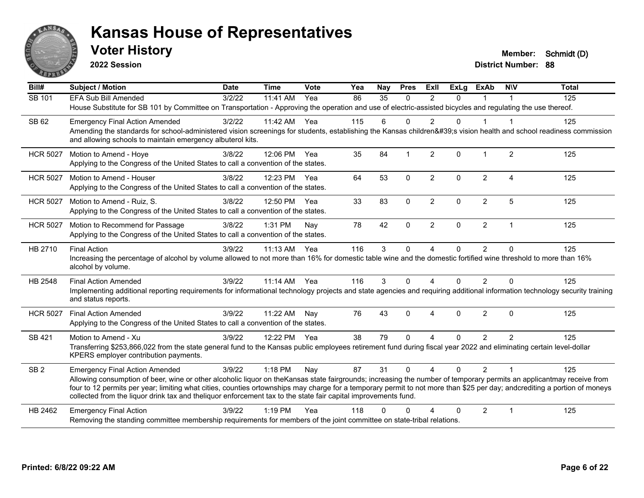

**2022 Session**

**District Number: 88 Voter History Member: Schmidt (D)** 

**Bill# Subject / Motion Date Time Vote Yea Nay Pres Exll ExLg ExAb N\V Total** SB 101 FFA Sub Bill Amended 3/2/22 11:41 AM Yea 86 35 0 2 0 1 1 House Substitute for SB 101 by Committee on Transportation - Approving the operation and use of electric-assisted bicycles and regulating the use thereof. SB 62 Emergency Final Action Amended 3/2/22 11:42 AM Yea 115 6 0 2 0 1 1 Amending the standards for school-administered vision screenings for students, establishing the Kansas children's vision health and school readiness commission and allowing schools to maintain emergency albuterol kits. HCR 5027 Motion to Amend - Hoye 3/8/22 12:06 PM Yea 35 84 1 2 0 1 2 125 Applying to the Congress of the United States to call a convention of the states. HCR 5027 Motion to Amend - Houser 3/8/22 12:23 PM Yea 64 53 0 2 0 2 4 125 Applying to the Congress of the United States to call a convention of the states. HCR 5027 Motion to Amend - Ruiz, S. 3/8/22 12:50 PM Yea 33 83 0 2 0 2 5 125 Applying to the Congress of the United States to call a convention of the states. HCR 5027 Motion to Recommend for Passage 3/8/22 1:31 PM Nay 78 42 0 2 0 2 1 1 125 Applying to the Congress of the United States to call a convention of the states. HB 2710 Final Action 3/9/22 11:13 AM Yea 116 3 0 4 0 2 0 125 Increasing the percentage of alcohol by volume allowed to not more than 16% for domestic table wine and the domestic fortified wine threshold to more than 16% alcohol by volume. HB 2548 Final Action Amended 3/9/22 11:14 AM Yea 116 3 0 4 0 2 0 125 Implementing additional reporting requirements for informational technology projects and state agencies and requiring additional information technology security training and status reports. HCR 5027 Final Action Amended 3/9/22 11:22 AM Nay 76 43 0 4 0 2 0 125 Applying to the Congress of the United States to call a convention of the states. SB 421 Motion to Amend - Xu and the State of American case of Alexandria 2012 125 125 125 125 125 125 125 125 Transferring \$253,866,022 from the state general fund to the Kansas public employees retirement fund during fiscal year 2022 and eliminating certain level-dollar KPERS employer contribution payments. SB 2 Emergency Final Action Amended 3/9/22 1:18 PM Nay 87 31 0 4 0 2 1 125 Allowing consumption of beer, wine or other alcoholic liquor on theKansas state fairgrounds; increasing the number of temporary permits an applicantmay receive from four to 12 permits per year; limiting what cities, counties ortownships may charge for a temporary permit to not more than \$25 per day; andcrediting a portion of moneys collected from the liquor drink tax and theliquor enforcement tax to the state fair capital improvements fund. HB 2462 Emergency Final Action 125 (3/9/22 1:19 PM Yea 118 0 0 4 0 2 1 125 Removing the standing committee membership requirements for members of the joint committee on state-tribal relations.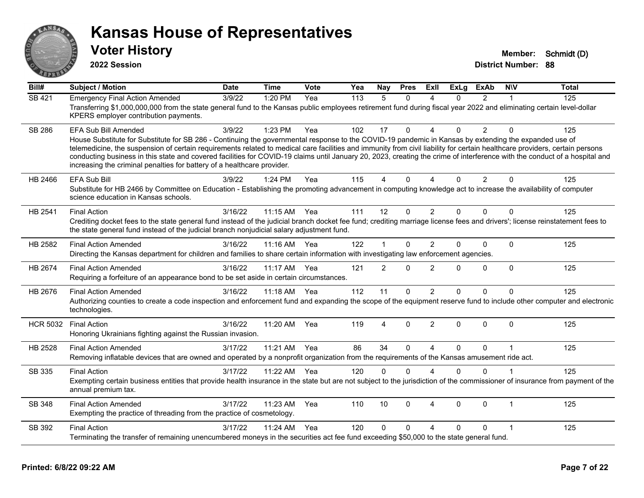

**2022 Session**

**Voter History Member: Schmidt (D)** 

**District Number: 88**

| Bill#           | <b>Subject / Motion</b>                                                                                                                                                                                                                                                                                                                                                                                                                                                                                                                                                                                               | <b>Date</b> | <b>Time</b> | Vote | Yea | Nay            | <b>Pres</b>  | ExIl                   | <b>ExLg</b> | <b>ExAb</b>    | <b>NIV</b>   | <b>Total</b> |
|-----------------|-----------------------------------------------------------------------------------------------------------------------------------------------------------------------------------------------------------------------------------------------------------------------------------------------------------------------------------------------------------------------------------------------------------------------------------------------------------------------------------------------------------------------------------------------------------------------------------------------------------------------|-------------|-------------|------|-----|----------------|--------------|------------------------|-------------|----------------|--------------|--------------|
| SB 421          | <b>Emergency Final Action Amended</b><br>Transferring \$1,000,000,000 from the state general fund to the Kansas public employees retirement fund during fiscal year 2022 and eliminating certain level-dollar<br>KPERS employer contribution payments.                                                                                                                                                                                                                                                                                                                                                                | 3/9/22      | 1:20 PM     | Yea  | 113 | 5              | $\Omega$     | $\boldsymbol{\Lambda}$ | $\Omega$    | $\overline{2}$ | 1            | 125          |
| <b>SB 286</b>   | EFA Sub Bill Amended<br>House Substitute for Substitute for SB 286 - Continuing the governmental response to the COVID-19 pandemic in Kansas by extending the expanded use of<br>telemedicine, the suspension of certain requirements related to medical care facilities and immunity from civil liability for certain healthcare providers, certain persons<br>conducting business in this state and covered facilities for COVID-19 claims until January 20, 2023, creating the crime of interference with the conduct of a hospital and<br>increasing the criminal penalties for battery of a healthcare provider. | 3/9/22      | 1:23 PM     | Yea  | 102 | 17             | $\Omega$     | $\Delta$               | 0           | 2              | $\mathbf{0}$ | 125          |
| HB 2466         | <b>EFA Sub Bill</b><br>Substitute for HB 2466 by Committee on Education - Establishing the promoting advancement in computing knowledge act to increase the availability of computer<br>science education in Kansas schools.                                                                                                                                                                                                                                                                                                                                                                                          | 3/9/22      | 1:24 PM     | Yea  | 115 | 4              | 0            | $\Lambda$              | 0           | $\overline{2}$ | $\Omega$     | 125          |
| HB 2541         | <b>Final Action</b><br>Crediting docket fees to the state general fund instead of the judicial branch docket fee fund; crediting marriage license fees and drivers'; license reinstatement fees to<br>the state general fund instead of the judicial branch nonjudicial salary adjustment fund.                                                                                                                                                                                                                                                                                                                       | 3/16/22     | 11:15 AM    | Yea  | 111 | 12             | $\mathbf{0}$ | $\overline{2}$         | $\Omega$    | $\Omega$       | $\Omega$     | 125          |
| HB 2582         | <b>Final Action Amended</b><br>Directing the Kansas department for children and families to share certain information with investigating law enforcement agencies.                                                                                                                                                                                                                                                                                                                                                                                                                                                    | 3/16/22     | $11:16$ AM  | Yea  | 122 | 1              | $\Omega$     | $\overline{2}$         | 0           | $\Omega$       | $\Omega$     | 125          |
| HB 2674         | <b>Final Action Amended</b><br>Requiring a forfeiture of an appearance bond to be set aside in certain circumstances.                                                                                                                                                                                                                                                                                                                                                                                                                                                                                                 | 3/16/22     | 11:17 AM    | Yea  | 121 | $\overline{2}$ | $\mathbf{0}$ | $\overline{2}$         | 0           | $\Omega$       | $\mathbf{0}$ | 125          |
| HB 2676         | <b>Final Action Amended</b><br>Authorizing counties to create a code inspection and enforcement fund and expanding the scope of the equipment reserve fund to include other computer and electronic<br>technologies.                                                                                                                                                                                                                                                                                                                                                                                                  | 3/16/22     | 11:18 AM    | Yea  | 112 | 11             | 0            | $\overline{2}$         | 0           | $\Omega$       | $\mathbf 0$  | 125          |
| <b>HCR 5032</b> | <b>Final Action</b><br>Honoring Ukrainians fighting against the Russian invasion.                                                                                                                                                                                                                                                                                                                                                                                                                                                                                                                                     | 3/16/22     | 11:20 AM    | Yea  | 119 | 4              | $\Omega$     | $\overline{2}$         | $\Omega$    | $\Omega$       | $\Omega$     | 125          |
| HB 2528         | <b>Final Action Amended</b><br>Removing inflatable devices that are owned and operated by a nonprofit organization from the requirements of the Kansas amusement ride act.                                                                                                                                                                                                                                                                                                                                                                                                                                            | 3/17/22     | 11:21 AM    | Yea  | 86  | 34             | $\Omega$     | $\boldsymbol{\Lambda}$ | $\Omega$    | $\mathbf{0}$   |              | 125          |
| SB 335          | <b>Final Action</b><br>Exempting certain business entities that provide health insurance in the state but are not subject to the jurisdiction of the commissioner of insurance from payment of the<br>annual premium tax.                                                                                                                                                                                                                                                                                                                                                                                             | 3/17/22     | 11:22 AM    | Yea  | 120 | $\Omega$       | $\Omega$     | $\boldsymbol{\Lambda}$ | $\Omega$    | $\Omega$       |              | 125          |
| SB 348          | <b>Final Action Amended</b><br>Exempting the practice of threading from the practice of cosmetology.                                                                                                                                                                                                                                                                                                                                                                                                                                                                                                                  | 3/17/22     | 11:23 AM    | Yea  | 110 | 10             | $\Omega$     | 4                      | $\Omega$    | $\mathbf 0$    | $\mathbf 1$  | 125          |
| SB 392          | <b>Final Action</b><br>Terminating the transfer of remaining unencumbered moneys in the securities act fee fund exceeding \$50,000 to the state general fund.                                                                                                                                                                                                                                                                                                                                                                                                                                                         | 3/17/22     | 11:24 AM    | Yea  | 120 | $\Omega$       | 0            | $\Delta$               | 0           | $\Omega$       |              | 125          |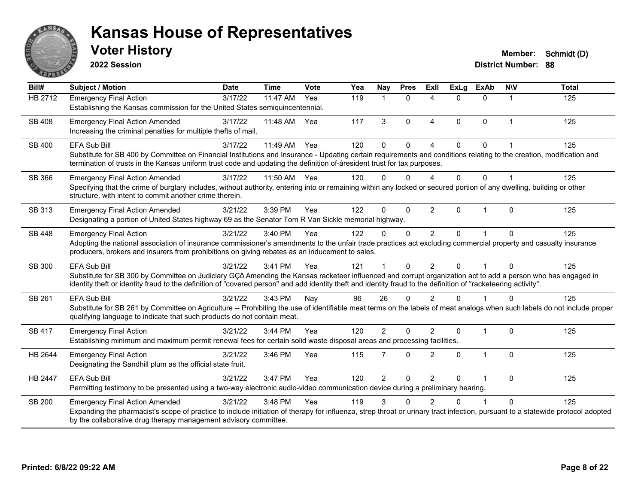

**2022 Session**

| Bill#          | <b>Subject / Motion</b>                                                                                                                                                                                                                                                                                                        | <b>Date</b> | <b>Time</b> | Vote | Yea | Nay            | <b>Pres</b> | ExII                     | <b>ExLg</b> | <b>ExAb</b>  | <b>NIV</b>  | <b>Total</b> |
|----------------|--------------------------------------------------------------------------------------------------------------------------------------------------------------------------------------------------------------------------------------------------------------------------------------------------------------------------------|-------------|-------------|------|-----|----------------|-------------|--------------------------|-------------|--------------|-------------|--------------|
| <b>HB 2712</b> | <b>Emergency Final Action</b>                                                                                                                                                                                                                                                                                                  | 3/17/22     | 11:47 AM    | Yea  | 119 | $\mathbf 1$    | $\Omega$    | 4                        | $\Omega$    | $\Omega$     | 1           | 125          |
|                | Establishing the Kansas commission for the United States semiquincentennial.                                                                                                                                                                                                                                                   |             |             |      |     |                |             |                          |             |              |             |              |
| <b>SB 408</b>  | <b>Emergency Final Action Amended</b>                                                                                                                                                                                                                                                                                          | 3/17/22     | 11:48 AM    | Yea  | 117 | 3              | $\Omega$    | $\boldsymbol{\Lambda}$   | $\Omega$    | $\Omega$     | $\mathbf 1$ | 125          |
|                | Increasing the criminal penalties for multiple thefts of mail.                                                                                                                                                                                                                                                                 |             |             |      |     |                |             |                          |             |              |             |              |
| SB 400         | <b>EFA Sub Bill</b>                                                                                                                                                                                                                                                                                                            | 3/17/22     | 11:49 AM    | Yea  | 120 | $\Omega$       | $\Omega$    | $\boldsymbol{\varDelta}$ | $\Omega$    | $\Omega$     |             | 125          |
|                | Substitute for SB 400 by Committee on Financial Institutions and Insurance - Updating certain requirements and conditions relating to the creation, modification and                                                                                                                                                           |             |             |      |     |                |             |                          |             |              |             |              |
|                | termination of trusts in the Kansas uniform trust code and updating the definition of-áresident trust for tax purposes.                                                                                                                                                                                                        |             |             |      |     |                |             |                          |             |              |             |              |
| SB 366         | <b>Emergency Final Action Amended</b>                                                                                                                                                                                                                                                                                          | 3/17/22     | 11:50 AM    | Yea  | 120 | $\Omega$       | $\Omega$    |                          | 0           | 0            |             | 125          |
|                | Specifying that the crime of burglary includes, without authority, entering into or remaining within any locked or secured portion of any dwelling, building or other                                                                                                                                                          |             |             |      |     |                |             |                          |             |              |             |              |
|                | structure, with intent to commit another crime therein.                                                                                                                                                                                                                                                                        |             |             |      |     |                |             |                          |             |              |             |              |
| SB 313         | <b>Emergency Final Action Amended</b>                                                                                                                                                                                                                                                                                          | 3/21/22     | 3:39 PM     | Yea  | 122 | 0              | $\Omega$    | $\overline{2}$           | $\Omega$    | 1            | $\Omega$    | 125          |
|                | Designating a portion of United States highway 69 as the Senator Tom R Van Sickle memorial highway.                                                                                                                                                                                                                            |             |             |      |     |                |             |                          |             |              |             |              |
| <b>SB 448</b>  | <b>Emergency Final Action</b>                                                                                                                                                                                                                                                                                                  | 3/21/22     | 3:40 PM     | Yea  | 122 | $\Omega$       | $\Omega$    | 2                        | 0           |              | $\Omega$    | 125          |
|                | Adopting the national association of insurance commissioner's amendments to the unfair trade practices act excluding commercial property and casualty insurance                                                                                                                                                                |             |             |      |     |                |             |                          |             |              |             |              |
|                | producers, brokers and insurers from prohibitions on giving rebates as an inducement to sales.                                                                                                                                                                                                                                 |             |             |      |     |                |             |                          |             |              |             |              |
| SB 300         | EFA Sub Bill                                                                                                                                                                                                                                                                                                                   | 3/21/22     | 3:41 PM     | Yea  | 121 |                | $\Omega$    | 2                        | $\Omega$    | 1            | $\Omega$    | 125          |
|                | Substitute for SB 300 by Committee on Judiciary GÇô Amending the Kansas racketeer influenced and corrupt organization act to add a person who has engaged in<br>identity theft or identity fraud to the definition of "covered person" and add identity theft and identity fraud to the definition of "racketeering activity". |             |             |      |     |                |             |                          |             |              |             |              |
| SB 261         | <b>EFA Sub Bill</b>                                                                                                                                                                                                                                                                                                            | 3/21/22     | 3:43 PM     | Nay  | 96  | 26             | $\Omega$    | $\mathcal{P}$            | U           |              | ∩           | 125          |
|                | Substitute for SB 261 by Committee on Agriculture -- Prohibiting the use of identifiable meat terms on the labels of meat analogs when such labels do not include proper                                                                                                                                                       |             |             |      |     |                |             |                          |             |              |             |              |
|                | qualifying language to indicate that such products do not contain meat.                                                                                                                                                                                                                                                        |             |             |      |     |                |             |                          |             |              |             |              |
| SB 417         | <b>Emergency Final Action</b>                                                                                                                                                                                                                                                                                                  | 3/21/22     | 3:44 PM     | Yea  | 120 | $\overline{2}$ | $\Omega$    | $\overline{2}$           | $\Omega$    | 1            | $\Omega$    | 125          |
|                | Establishing minimum and maximum permit renewal fees for certain solid waste disposal areas and processing facilities.                                                                                                                                                                                                         |             |             |      |     |                |             |                          |             |              |             |              |
| HB 2644        | <b>Emergency Final Action</b>                                                                                                                                                                                                                                                                                                  | 3/21/22     | 3:46 PM     | Yea  | 115 | $\overline{7}$ | $\Omega$    | 2                        | $\Omega$    | $\mathbf{1}$ | $\Omega$    | 125          |
|                | Designating the Sandhill plum as the official state fruit.                                                                                                                                                                                                                                                                     |             |             |      |     |                |             |                          |             |              |             |              |
| <b>HB 2447</b> | <b>EFA Sub Bill</b>                                                                                                                                                                                                                                                                                                            | 3/21/22     | 3:47 PM     | Yea  | 120 | $\overline{2}$ | 0           | 2                        | $\Omega$    | 1            | $\mathbf 0$ | 125          |
|                | Permitting testimony to be presented using a two-way electronic audio-video communication device during a preliminary hearing.                                                                                                                                                                                                 |             |             |      |     |                |             |                          |             |              |             |              |
| SB 200         | <b>Emergency Final Action Amended</b>                                                                                                                                                                                                                                                                                          | 3/21/22     | 3:48 PM     | Yea  | 119 | 3              | ∩           |                          | 0           |              | 0           | 125          |
|                | Expanding the pharmacist's scope of practice to include initiation of therapy for influenza, strep throat or urinary tract infection, pursuant to a statewide protocol adopted                                                                                                                                                 |             |             |      |     |                |             |                          |             |              |             |              |
|                | by the collaborative drug therapy management advisory committee.                                                                                                                                                                                                                                                               |             |             |      |     |                |             |                          |             |              |             |              |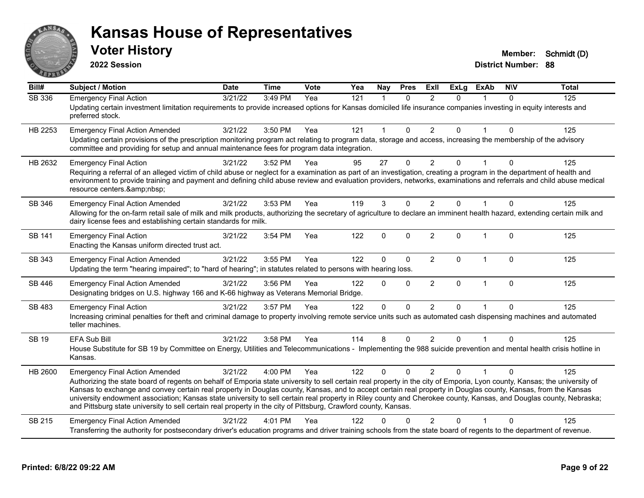

**2022 Session**

| Bill#         | <b>Subject / Motion</b>                                                                                                                                                                                                                                                                                                                                                                                                                                                                                                                                                                                                                                                      | <b>Date</b> | <b>Time</b> | <b>Vote</b> | Yea | Nay                  | <b>Pres</b>  | <b>Exll</b>    | <b>ExLg</b>  | <b>ExAb</b>             | <b>NIV</b> | <b>Total</b> |
|---------------|------------------------------------------------------------------------------------------------------------------------------------------------------------------------------------------------------------------------------------------------------------------------------------------------------------------------------------------------------------------------------------------------------------------------------------------------------------------------------------------------------------------------------------------------------------------------------------------------------------------------------------------------------------------------------|-------------|-------------|-------------|-----|----------------------|--------------|----------------|--------------|-------------------------|------------|--------------|
| <b>SB 336</b> | <b>Emergency Final Action</b><br>Updating certain investment limitation requirements to provide increased options for Kansas domiciled life insurance companies investing in equity interests and<br>preferred stock.                                                                                                                                                                                                                                                                                                                                                                                                                                                        | 3/21/22     | 3:49 PM     | Yea         | 121 | $\blacktriangleleft$ | $\Omega$     | $\mathfrak{p}$ | $\Omega$     |                         | $\Omega$   | 125          |
| HB 2253       | <b>Emergency Final Action Amended</b><br>Updating certain provisions of the prescription monitoring program act relating to program data, storage and access, increasing the membership of the advisory<br>committee and providing for setup and annual maintenance fees for program data integration.                                                                                                                                                                                                                                                                                                                                                                       | 3/21/22     | 3:50 PM     | Yea         | 121 | $\blacktriangleleft$ | $\Omega$     | $\overline{2}$ | $\Omega$     | $\mathbf 1$             | $\Omega$   | 125          |
| HB 2632       | <b>Emergency Final Action</b><br>Requiring a referral of an alleged victim of child abuse or neglect for a examination as part of an investigation, creating a program in the department of health and<br>environment to provide training and payment and defining child abuse review and evaluation providers, networks, examinations and referrals and child abuse medical<br>resource centers.                                                                                                                                                                                                                                                                            | 3/21/22     | 3:52 PM     | Yea         | 95  | 27                   | $\Omega$     | 2              | <sup>n</sup> |                         | $\Omega$   | 125          |
| SB 346        | <b>Emergency Final Action Amended</b><br>Allowing for the on-farm retail sale of milk and milk products, authorizing the secretary of agriculture to declare an imminent health hazard, extending certain milk and<br>dairy license fees and establishing certain standards for milk.                                                                                                                                                                                                                                                                                                                                                                                        | 3/21/22     | 3:53 PM     | Yea         | 119 | 3                    | $\mathbf{0}$ | $\overline{2}$ | $\Omega$     |                         | $\Omega$   | 125          |
| SB 141        | <b>Emergency Final Action</b><br>Enacting the Kansas uniform directed trust act.                                                                                                                                                                                                                                                                                                                                                                                                                                                                                                                                                                                             | 3/21/22     | 3:54 PM     | Yea         | 122 | $\Omega$             | $\mathbf{0}$ | $\overline{2}$ | $\Omega$     | $\overline{1}$          | $\Omega$   | 125          |
| SB 343        | <b>Emergency Final Action Amended</b><br>Updating the term "hearing impaired"; to "hard of hearing"; in statutes related to persons with hearing loss.                                                                                                                                                                                                                                                                                                                                                                                                                                                                                                                       | 3/21/22     | 3:55 PM     | Yea         | 122 | $\Omega$             | $\Omega$     | 2              | $\Omega$     | $\mathbf 1$             | $\Omega$   | 125          |
| SB 446        | <b>Emergency Final Action Amended</b><br>Designating bridges on U.S. highway 166 and K-66 highway as Veterans Memorial Bridge.                                                                                                                                                                                                                                                                                                                                                                                                                                                                                                                                               | 3/21/22     | 3:56 PM     | Yea         | 122 | $\Omega$             | $\Omega$     | $\overline{2}$ | $\Omega$     | $\overline{1}$          | $\Omega$   | 125          |
| SB 483        | <b>Emergency Final Action</b><br>Increasing criminal penalties for theft and criminal damage to property involving remote service units such as automated cash dispensing machines and automated<br>teller machines.                                                                                                                                                                                                                                                                                                                                                                                                                                                         | 3/21/22     | 3:57 PM     | Yea         | 122 | $\Omega$             | $\Omega$     | $\overline{2}$ | $\Omega$     |                         | $\Omega$   | 125          |
| <b>SB 19</b>  | <b>EFA Sub Bill</b><br>House Substitute for SB 19 by Committee on Energy, Utilities and Telecommunications - Implementing the 988 suicide prevention and mental health crisis hotline in<br>Kansas.                                                                                                                                                                                                                                                                                                                                                                                                                                                                          | 3/21/22     | 3:58 PM     | Yea         | 114 | 8                    | $\Omega$     | $\overline{2}$ | $\Omega$     |                         | $\Omega$   | 125          |
| HB 2600       | <b>Emergency Final Action Amended</b><br>Authorizing the state board of regents on behalf of Emporia state university to sell certain real property in the city of Emporia, Lyon county, Kansas; the university of<br>Kansas to exchange and convey certain real property in Douglas county, Kansas, and to accept certain real property in Douglas county, Kansas, from the Kansas<br>university endowment association; Kansas state university to sell certain real property in Riley county and Cherokee county, Kansas, and Douglas county, Nebraska;<br>and Pittsburg state university to sell certain real property in the city of Pittsburg, Crawford county, Kansas. | 3/21/22     | 4:00 PM     | Yea         | 122 | $\Omega$             | $\Omega$     | $\mathcal{P}$  | $\Omega$     | $\overline{\mathbf{1}}$ | $\Omega$   | 125          |
| SB 215        | <b>Emergency Final Action Amended</b><br>Transferring the authority for postsecondary driver's education programs and driver training schools from the state board of regents to the department of revenue.                                                                                                                                                                                                                                                                                                                                                                                                                                                                  | 3/21/22     | 4:01 PM     | Yea         | 122 | n                    | 0            | $\mathfrak{p}$ |              |                         | 0          | 125          |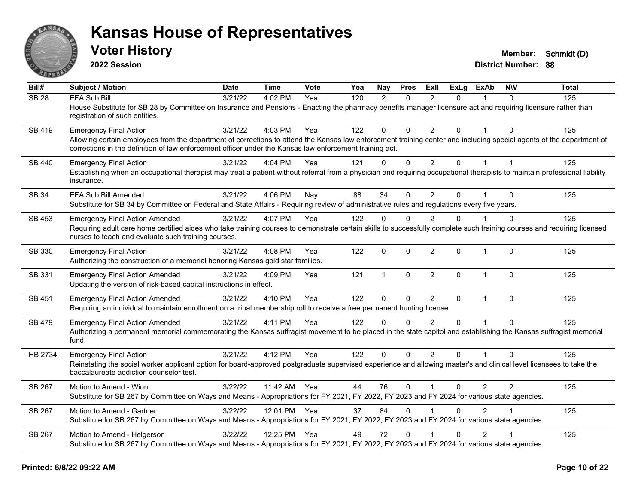

**2022 Session**

**Voter History Member: Schmidt (D)** 

**District Number: 88**

| Bill#            | Subject / Motion                                                                                                                                                                                                                                                                                                 | <b>Date</b> | <b>Time</b>  | <b>Vote</b> | Yea | <b>Nay</b>    | <b>Pres</b>  | ExIl           | <b>ExLg</b>  | <b>ExAb</b>    | <b>NIV</b>     | <b>Total</b> |
|------------------|------------------------------------------------------------------------------------------------------------------------------------------------------------------------------------------------------------------------------------------------------------------------------------------------------------------|-------------|--------------|-------------|-----|---------------|--------------|----------------|--------------|----------------|----------------|--------------|
| SB <sub>28</sub> | <b>EFA Sub Bill</b><br>House Substitute for SB 28 by Committee on Insurance and Pensions - Enacting the pharmacy benefits manager licensure act and requiring licensure rather than<br>registration of such entities.                                                                                            | 3/21/22     | 4:02 PM      | Yea         | 120 | $\mathcal{P}$ | $\mathbf{0}$ | $\mathcal{P}$  | $\Omega$     |                | $\Omega$       | 125          |
| SB 419           | <b>Emergency Final Action</b><br>Allowing certain employees from the department of corrections to attend the Kansas law enforcement training center and including special agents of the department of<br>corrections in the definition of law enforcement officer under the Kansas law enforcement training act. | 3/21/22     | 4:03 PM      | Yea         | 122 | $\mathbf{0}$  | $\mathbf{0}$ | $\overline{2}$ | $\Omega$     | 1              | $\Omega$       | 125          |
| <b>SB 440</b>    | <b>Emergency Final Action</b><br>Establishing when an occupational therapist may treat a patient without referral from a physician and requiring occupational therapists to maintain professional liability<br>insurance.                                                                                        | 3/21/22     | 4:04 PM      | Yea         | 121 | $\mathbf{0}$  | $\mathbf 0$  | $\overline{2}$ | $\Omega$     | $\mathbf{1}$   | $\overline{1}$ | 125          |
| <b>SB 34</b>     | EFA Sub Bill Amended<br>Substitute for SB 34 by Committee on Federal and State Affairs - Requiring review of administrative rules and regulations every five years.                                                                                                                                              | 3/21/22     | 4:06 PM      | Nay         | 88  | 34            | $\mathbf{0}$ | $\overline{2}$ | $\Omega$     |                | $\Omega$       | 125          |
| <b>SB 453</b>    | <b>Emergency Final Action Amended</b><br>Requiring adult care home certified aides who take training courses to demonstrate certain skills to successfully complete such training courses and requiring licensed<br>nurses to teach and evaluate such training courses.                                          | 3/21/22     | 4:07 PM      | Yea         | 122 | $\Omega$      | $\Omega$     | $\overline{2}$ | $\Omega$     |                | $\mathbf 0$    | 125          |
| SB 330           | <b>Emergency Final Action</b><br>Authorizing the construction of a memorial honoring Kansas gold star families.                                                                                                                                                                                                  | 3/21/22     | 4:08 PM      | Yea         | 122 | $\mathbf{0}$  | $\mathbf{0}$ | $\overline{2}$ | $\Omega$     | $\mathbf{1}$   | $\mathbf{0}$   | 125          |
| SB 331           | <b>Emergency Final Action Amended</b><br>Updating the version of risk-based capital instructions in effect.                                                                                                                                                                                                      | 3/21/22     | 4:09 PM      | Yea         | 121 | $\mathbf{1}$  | $\mathbf 0$  | $\overline{2}$ | $\Omega$     | $\mathbf{1}$   | $\mathbf{0}$   | 125          |
| <b>SB 451</b>    | <b>Emergency Final Action Amended</b><br>Requiring an individual to maintain enrollment on a tribal membership roll to receive a free permanent hunting license.                                                                                                                                                 | 3/21/22     | 4:10 PM      | Yea         | 122 | $\Omega$      | $\mathbf 0$  | $\overline{2}$ | $\mathbf{0}$ | $\mathbf{1}$   | $\mathbf{0}$   | 125          |
| SB 479           | <b>Emergency Final Action Amended</b><br>Authorizing a permanent memorial commemorating the Kansas suffragist movement to be placed in the state capitol and establishing the Kansas suffragist memorial<br>fund.                                                                                                | 3/21/22     | 4:11 PM      | Yea         | 122 | $\Omega$      | $\Omega$     | $\overline{2}$ | $\Omega$     | 1              | $\Omega$       | 125          |
| HB 2734          | <b>Emergency Final Action</b><br>Reinstating the social worker applicant option for board-approved postgraduate supervised experience and allowing master's and clinical level licensees to take the<br>baccalaureate addiction counselor test.                                                                  | 3/21/22     | 4:12 PM      | Yea         | 122 | $\Omega$      | $\Omega$     | $\overline{2}$ | $\Omega$     | $\mathbf{1}$   | $\Omega$       | 125          |
| SB 267           | Motion to Amend - Winn<br>Substitute for SB 267 by Committee on Ways and Means - Appropriations for FY 2021, FY 2022, FY 2023 and FY 2024 for various state agencies.                                                                                                                                            | 3/22/22     | 11:42 AM Yea |             | 44  | 76            | $\mathbf{0}$ | $\mathbf 1$    | $\Omega$     | $\overline{2}$ | 2              | 125          |
| SB 267           | Motion to Amend - Gartner<br>Substitute for SB 267 by Committee on Ways and Means - Appropriations for FY 2021, FY 2022, FY 2023 and FY 2024 for various state agencies.                                                                                                                                         | 3/22/22     | 12:01 PM Yea |             | 37  | 84            | $\Omega$     |                | $\Omega$     | 2              |                | 125          |
| SB 267           | Motion to Amend - Helgerson<br>Substitute for SB 267 by Committee on Ways and Means - Appropriations for FY 2021, FY 2022, FY 2023 and FY 2024 for various state agencies.                                                                                                                                       | 3/22/22     | 12:25 PM Yea |             | 49  | 72            | $\Omega$     |                | $\Omega$     | 2              |                | 125          |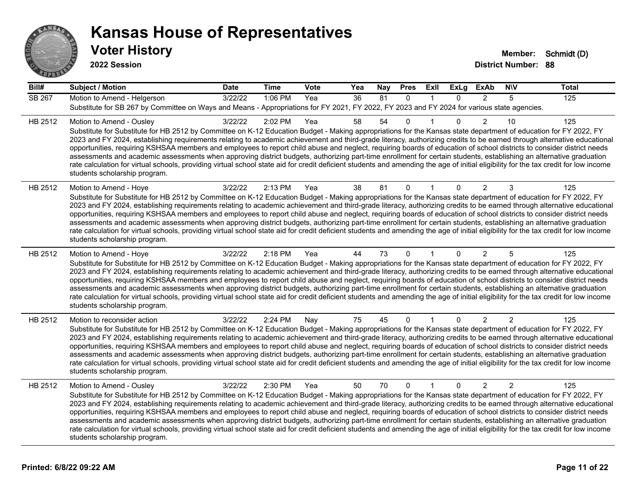

**2022 Session**

**Voter History Member: Schmidt (D)** 

**District Number: 88**

| Bill#         | <b>Subject / Motion</b>                                                                                                                                                                                                                                                                                                                                                                                                                                                                                                                                                                                                                                                                                                                                                                                                                                                                                                                             | <b>Date</b> | <b>Time</b> | <b>Vote</b> | Yea | Nay | <b>Pres</b>  | ExII         | <b>ExLg</b>  | <b>ExAb</b>    | <b>NIV</b>     | <b>Total</b> |
|---------------|-----------------------------------------------------------------------------------------------------------------------------------------------------------------------------------------------------------------------------------------------------------------------------------------------------------------------------------------------------------------------------------------------------------------------------------------------------------------------------------------------------------------------------------------------------------------------------------------------------------------------------------------------------------------------------------------------------------------------------------------------------------------------------------------------------------------------------------------------------------------------------------------------------------------------------------------------------|-------------|-------------|-------------|-----|-----|--------------|--------------|--------------|----------------|----------------|--------------|
| <b>SB 267</b> | Motion to Amend - Helgerson                                                                                                                                                                                                                                                                                                                                                                                                                                                                                                                                                                                                                                                                                                                                                                                                                                                                                                                         | 3/22/22     | 1:06 PM     | Yea         | 36  | 81  | $\mathbf{0}$ | 1            | $\mathbf{0}$ | $\overline{2}$ | 5              | 125          |
|               | Substitute for SB 267 by Committee on Ways and Means - Appropriations for FY 2021, FY 2022, FY 2023 and FY 2024 for various state agencies.                                                                                                                                                                                                                                                                                                                                                                                                                                                                                                                                                                                                                                                                                                                                                                                                         |             |             |             |     |     |              |              |              |                |                |              |
| HB 2512       | Motion to Amend - Ousley<br>Substitute for Substitute for HB 2512 by Committee on K-12 Education Budget - Making appropriations for the Kansas state department of education for FY 2022, FY<br>2023 and FY 2024, establishing requirements relating to academic achievement and third-grade literacy, authorizing credits to be earned through alternative educational<br>opportunities, requiring KSHSAA members and employees to report child abuse and neglect, requiring boards of education of school districts to consider district needs<br>assessments and academic assessments when approving district budgets, authorizing part-time enrollment for certain students, establishing an alternative graduation<br>rate calculation for virtual schools, providing virtual school state aid for credit deficient students and amending the age of initial eligibility for the tax credit for low income<br>students scholarship program.    | 3/22/22     | 2:02 PM     | Yea         | 58  | 54  | $\mathbf{0}$ |              | $\Omega$     | 2              | 10             | 125          |
| HB 2512       | Motion to Amend - Hoye<br>Substitute for Substitute for HB 2512 by Committee on K-12 Education Budget - Making appropriations for the Kansas state department of education for FY 2022, FY<br>2023 and FY 2024, establishing requirements relating to academic achievement and third-grade literacy, authorizing credits to be earned through alternative educational<br>opportunities, requiring KSHSAA members and employees to report child abuse and neglect, requiring boards of education of school districts to consider district needs<br>assessments and academic assessments when approving district budgets, authorizing part-time enrollment for certain students, establishing an alternative graduation<br>rate calculation for virtual schools, providing virtual school state aid for credit deficient students and amending the age of initial eligibility for the tax credit for low income<br>students scholarship program.      | 3/22/22     | 2:13 PM     | Yea         | 38  | 81  | 0            |              | 0            | 2              | 3              | 125          |
| HB 2512       | Motion to Amend - Hoye<br>Substitute for Substitute for HB 2512 by Committee on K-12 Education Budget - Making appropriations for the Kansas state department of education for FY 2022, FY<br>2023 and FY 2024, establishing requirements relating to academic achievement and third-grade literacy, authorizing credits to be earned through alternative educational<br>opportunities, requiring KSHSAA members and employees to report child abuse and neglect, requiring boards of education of school districts to consider district needs<br>assessments and academic assessments when approving district budgets, authorizing part-time enrollment for certain students, establishing an alternative graduation<br>rate calculation for virtual schools, providing virtual school state aid for credit deficient students and amending the age of initial eligibility for the tax credit for low income<br>students scholarship program.      | 3/22/22     | 2:18 PM     | Yea         | 44  | 73  | $\Omega$     |              | 0            | 2              | 5              | 125          |
| HB 2512       | Motion to reconsider action<br>Substitute for Substitute for HB 2512 by Committee on K-12 Education Budget - Making appropriations for the Kansas state department of education for FY 2022, FY<br>2023 and FY 2024, establishing requirements relating to academic achievement and third-grade literacy, authorizing credits to be earned through alternative educational<br>opportunities, requiring KSHSAA members and employees to report child abuse and neglect, requiring boards of education of school districts to consider district needs<br>assessments and academic assessments when approving district budgets, authorizing part-time enrollment for certain students, establishing an alternative graduation<br>rate calculation for virtual schools, providing virtual school state aid for credit deficient students and amending the age of initial eligibility for the tax credit for low income<br>students scholarship program. | 3/22/22     | 2:24 PM     | Nay         | 75  | 45  | $\mathbf 0$  | $\mathbf{1}$ | $\mathbf{0}$ | $\overline{2}$ | $\overline{2}$ | 125          |
| HB 2512       | Motion to Amend - Ousley<br>Substitute for Substitute for HB 2512 by Committee on K-12 Education Budget - Making appropriations for the Kansas state department of education for FY 2022, FY<br>2023 and FY 2024, establishing requirements relating to academic achievement and third-grade literacy, authorizing credits to be earned through alternative educational<br>opportunities, requiring KSHSAA members and employees to report child abuse and neglect, requiring boards of education of school districts to consider district needs<br>assessments and academic assessments when approving district budgets, authorizing part-time enrollment for certain students, establishing an alternative graduation<br>rate calculation for virtual schools, providing virtual school state aid for credit deficient students and amending the age of initial eligibility for the tax credit for low income<br>students scholarship program.    | 3/22/22     | 2:30 PM     | Yea         | 50  | 70  | $\mathbf{0}$ | 1            | $\Omega$     | 2              | 2              | 125          |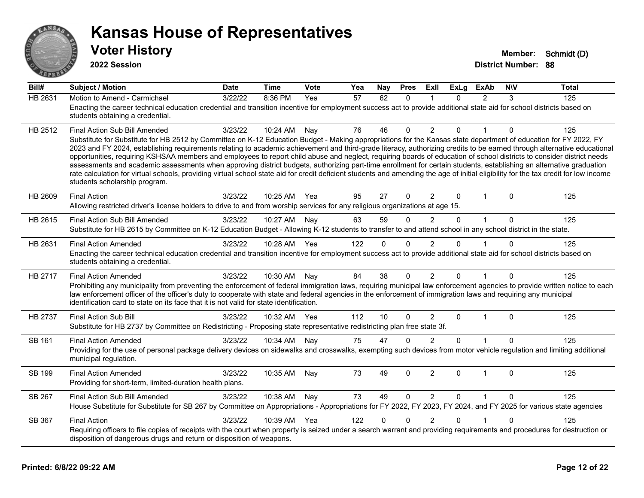

| $\overline{Bill#}$ | <b>Subject / Motion</b>                                                                                                                                                                                                                                                                                                                                                                                                                                                                                                                                                                                                                                                                                                                                                                                                                                                                                                                               | <b>Date</b> | <b>Time</b> | Vote | Yea | Nav          | <b>Pres</b>  | ExII                    | ExLa        | <b>ExAb</b>    | <b>NIV</b>   | <b>Total</b> |
|--------------------|-------------------------------------------------------------------------------------------------------------------------------------------------------------------------------------------------------------------------------------------------------------------------------------------------------------------------------------------------------------------------------------------------------------------------------------------------------------------------------------------------------------------------------------------------------------------------------------------------------------------------------------------------------------------------------------------------------------------------------------------------------------------------------------------------------------------------------------------------------------------------------------------------------------------------------------------------------|-------------|-------------|------|-----|--------------|--------------|-------------------------|-------------|----------------|--------------|--------------|
| HB 2631            | Motion to Amend - Carmichael<br>Enacting the career technical education credential and transition incentive for employment success act to provide additional state aid for school districts based on<br>students obtaining a credential.                                                                                                                                                                                                                                                                                                                                                                                                                                                                                                                                                                                                                                                                                                              | 3/22/22     | 8:36 PM     | Yea  | 57  | 62           | $\mathbf{0}$ | $\overline{\mathbf{1}}$ | $\Omega$    | $\mathfrak{p}$ | 3            | 125          |
| HB 2512            | Final Action Sub Bill Amended<br>Substitute for Substitute for HB 2512 by Committee on K-12 Education Budget - Making appropriations for the Kansas state department of education for FY 2022, FY<br>2023 and FY 2024, establishing requirements relating to academic achievement and third-grade literacy, authorizing credits to be earned through alternative educational<br>opportunities, requiring KSHSAA members and employees to report child abuse and neglect, requiring boards of education of school districts to consider district needs<br>assessments and academic assessments when approving district budgets, authorizing part-time enrollment for certain students, establishing an alternative graduation<br>rate calculation for virtual schools, providing virtual school state aid for credit deficient students and amending the age of initial eligibility for the tax credit for low income<br>students scholarship program. | 3/23/22     | 10:24 AM    | Nay  | 76  | 46           | $\mathbf 0$  | $\overline{2}$          | $\Omega$    | $\mathbf{1}$   | $\mathbf{0}$ | 125          |
| HB 2609            | <b>Final Action</b><br>Allowing restricted driver's license holders to drive to and from worship services for any religious organizations at age 15.                                                                                                                                                                                                                                                                                                                                                                                                                                                                                                                                                                                                                                                                                                                                                                                                  | 3/23/22     | 10:25 AM    | Yea  | 95  | 27           | $\mathbf 0$  | 2                       | $\Omega$    | $\mathbf 1$    | $\Omega$     | 125          |
| HB 2615            | Final Action Sub Bill Amended<br>Substitute for HB 2615 by Committee on K-12 Education Budget - Allowing K-12 students to transfer to and attend school in any school district in the state.                                                                                                                                                                                                                                                                                                                                                                                                                                                                                                                                                                                                                                                                                                                                                          | 3/23/22     | 10:27 AM    | Nav  | 63  | 59           | $\mathbf{0}$ | $\mathcal{P}$           | $\Omega$    | $\mathbf{1}$   | $\Omega$     | 125          |
| HB 2631            | <b>Final Action Amended</b><br>Enacting the career technical education credential and transition incentive for employment success act to provide additional state aid for school districts based on<br>students obtaining a credential.                                                                                                                                                                                                                                                                                                                                                                                                                                                                                                                                                                                                                                                                                                               | 3/23/22     | 10:28 AM    | Yea  | 122 | $\mathbf{0}$ | $\Omega$     | 2                       | 0           |                | $\Omega$     | 125          |
| HB 2717            | <b>Final Action Amended</b><br>Prohibiting any municipality from preventing the enforcement of federal immigration laws, requiring municipal law enforcement agencies to provide written notice to each<br>law enforcement officer of the officer's duty to cooperate with state and federal agencies in the enforcement of immigration laws and requiring any municipal<br>identification card to state on its face that it is not valid for state identification.                                                                                                                                                                                                                                                                                                                                                                                                                                                                                   | 3/23/22     | 10:30 AM    | Nay  | 84  | 38           | $\mathbf{0}$ | 2                       | $\Omega$    | 1              | $\Omega$     | 125          |
| HB 2737            | <b>Final Action Sub Bill</b><br>Substitute for HB 2737 by Committee on Redistricting - Proposing state representative redistricting plan free state 3f.                                                                                                                                                                                                                                                                                                                                                                                                                                                                                                                                                                                                                                                                                                                                                                                               | 3/23/22     | 10:32 AM    | Yea  | 112 | 10           | $\Omega$     | 2                       | $\Omega$    | $\mathbf{1}$   | $\Omega$     | 125          |
| SB 161             | <b>Final Action Amended</b><br>Providing for the use of personal package delivery devices on sidewalks and crosswalks, exempting such devices from motor vehicle regulation and limiting additional<br>municipal regulation.                                                                                                                                                                                                                                                                                                                                                                                                                                                                                                                                                                                                                                                                                                                          | 3/23/22     | 10:34 AM    | Nay  | 75  | 47           | $\Omega$     | 2                       | $\Omega$    |                | $\Omega$     | 125          |
| SB 199             | <b>Final Action Amended</b><br>Providing for short-term, limited-duration health plans.                                                                                                                                                                                                                                                                                                                                                                                                                                                                                                                                                                                                                                                                                                                                                                                                                                                               | 3/23/22     | 10:35 AM    | Nay  | 73  | 49           | $\Omega$     | $\overline{2}$          | $\Omega$    | $\mathbf{1}$   | $\Omega$     | 125          |
| SB 267             | Final Action Sub Bill Amended<br>House Substitute for Substitute for SB 267 by Committee on Appropriations - Appropriations for FY 2022, FY 2023, FY 2024, and FY 2025 for various state agencies                                                                                                                                                                                                                                                                                                                                                                                                                                                                                                                                                                                                                                                                                                                                                     | 3/23/22     | 10:38 AM    | Nay  | 73  | 49           | $\mathbf 0$  | $\overline{2}$          | $\mathbf 0$ | $\mathbf{1}$   | $\Omega$     | 125          |
| SB 367             | <b>Final Action</b><br>Requiring officers to file copies of receipts with the court when property is seized under a search warrant and providing requirements and procedures for destruction or<br>disposition of dangerous drugs and return or disposition of weapons.                                                                                                                                                                                                                                                                                                                                                                                                                                                                                                                                                                                                                                                                               | 3/23/22     | 10:39 AM    | Yea  | 122 | 0            | $\Omega$     | $\mathfrak{p}$          | 0           |                | 0            | 125          |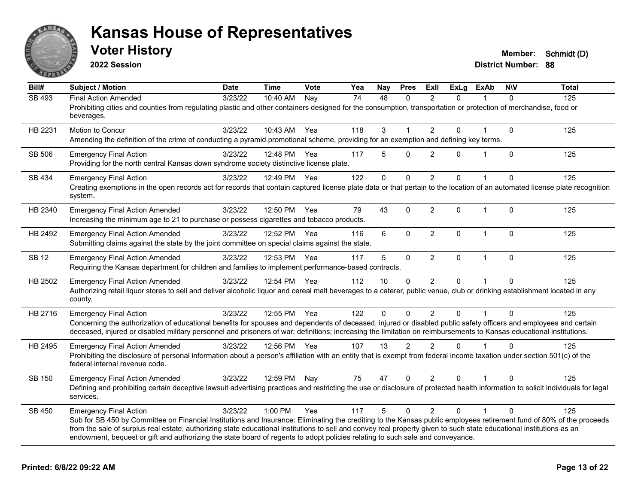

**2022 Session**

| Bill#        | <b>Subject / Motion</b>                                                                                                                                                                                                                                                                                                                                                                                                                                                                                        | <b>Date</b> | <b>Time</b>  | Vote | Yea             | Nay         | <b>Pres</b>    | <b>Exll</b>    | <b>ExLg</b>  | <b>ExAb</b>  | <b>NIV</b>   | <b>Total</b> |
|--------------|----------------------------------------------------------------------------------------------------------------------------------------------------------------------------------------------------------------------------------------------------------------------------------------------------------------------------------------------------------------------------------------------------------------------------------------------------------------------------------------------------------------|-------------|--------------|------|-----------------|-------------|----------------|----------------|--------------|--------------|--------------|--------------|
| SB 493       | <b>Final Action Amended</b><br>Prohibiting cities and counties from regulating plastic and other containers designed for the consumption, transportation or protection of merchandise, food or<br>beverages.                                                                                                                                                                                                                                                                                                   | 3/23/22     | 10:40 AM     | Nay  | $\overline{74}$ | 48          | $\Omega$       | 2              | $\Omega$     |              | $\Omega$     | 125          |
| HB 2231      | <b>Motion to Concur</b><br>Amending the definition of the crime of conducting a pyramid promotional scheme, providing for an exemption and defining key terms.                                                                                                                                                                                                                                                                                                                                                 | 3/23/22     | 10:43 AM     | Yea  | 118             | 3           | 1              | $\overline{2}$ | $\Omega$     |              | $\mathbf{0}$ | 125          |
| SB 506       | <b>Emergency Final Action</b><br>Providing for the north central Kansas down syndrome society distinctive license plate.                                                                                                                                                                                                                                                                                                                                                                                       | 3/23/22     | 12:48 PM     | Yea  | 117             | 5           | $\Omega$       | $\overline{2}$ | 0            | 1            | $\Omega$     | 125          |
| SB 434       | <b>Emergency Final Action</b><br>Creating exemptions in the open records act for records that contain captured license plate data or that pertain to the location of an automated license plate recognition<br>system.                                                                                                                                                                                                                                                                                         | 3/23/22     | 12:49 PM     | Yea  | 122             | $\mathbf 0$ | 0              | $\overline{c}$ | 0            | 1            | $\mathbf 0$  | 125          |
| HB 2340      | <b>Emergency Final Action Amended</b><br>Increasing the minimum age to 21 to purchase or possess cigarettes and tobacco products.                                                                                                                                                                                                                                                                                                                                                                              | 3/23/22     | 12:50 PM     | Yea  | 79              | 43          | $\mathbf 0$    | $\overline{2}$ | $\mathbf{0}$ | $\mathbf{1}$ | $\Omega$     | 125          |
| HB 2492      | <b>Emergency Final Action Amended</b><br>Submitting claims against the state by the joint committee on special claims against the state.                                                                                                                                                                                                                                                                                                                                                                       | 3/23/22     | 12:52 PM     | Yea  | 116             | 6           | $\Omega$       | $\overline{2}$ | $\mathbf{0}$ | $\mathbf{1}$ | $\Omega$     | 125          |
| <b>SB 12</b> | <b>Emergency Final Action Amended</b><br>Requiring the Kansas department for children and families to implement performance-based contracts.                                                                                                                                                                                                                                                                                                                                                                   | 3/23/22     | 12:53 PM     | Yea  | 117             | 5           | $\mathbf 0$    | $\overline{2}$ | $\mathbf{0}$ | $\mathbf{1}$ | $\mathbf{0}$ | 125          |
| HB 2502      | <b>Emergency Final Action Amended</b><br>Authorizing retail liquor stores to sell and deliver alcoholic liquor and cereal malt beverages to a caterer, public venue, club or drinking establishment located in any<br>county.                                                                                                                                                                                                                                                                                  | 3/23/22     | 12:54 PM Yea |      | 112             | 10          | 0              | $\overline{2}$ | $\Omega$     |              | $\Omega$     | 125          |
| HB 2716      | <b>Emergency Final Action</b><br>Concerning the authorization of educational benefits for spouses and dependents of deceased, injured or disabled public safety officers and employees and certain<br>deceased, injured or disabled military personnel and prisoners of war; definitions; increasing the limitation on reimbursements to Kansas educational institutions.                                                                                                                                      | 3/23/22     | 12:55 PM     | Yea  | 122             | 0           | $\mathbf{0}$   | $\overline{2}$ | $\mathbf{0}$ | 1            | $\mathbf{0}$ | 125          |
| HB 2495      | <b>Emergency Final Action Amended</b><br>Prohibiting the disclosure of personal information about a person's affiliation with an entity that is exempt from federal income taxation under section 501(c) of the<br>federal internal revenue code.                                                                                                                                                                                                                                                              | 3/23/22     | 12:56 PM     | Yea  | 107             | 13          | $\mathfrak{p}$ | $\mathcal{P}$  | $\Omega$     | 1            | $\Omega$     | 125          |
| SB 150       | <b>Emergency Final Action Amended</b><br>Defining and prohibiting certain deceptive lawsuit advertising practices and restricting the use or disclosure of protected health information to solicit individuals for legal<br>services.                                                                                                                                                                                                                                                                          | 3/23/22     | 12:59 PM     | Nay  | 75              | 47          | $\Omega$       | $\overline{2}$ | $\Omega$     |              | 0            | 125          |
| SB 450       | <b>Emergency Final Action</b><br>Sub for SB 450 by Committee on Financial Institutions and Insurance: Eliminating the crediting to the Kansas public employees retirement fund of 80% of the proceeds<br>from the sale of surplus real estate, authorizing state educational institutions to sell and convey real property given to such state educational institutions as an<br>endowment, bequest or gift and authorizing the state board of regents to adopt policies relating to such sale and conveyance. | 3/23/22     | 1:00 PM      | Yea  | 117             | 5           | $\Omega$       | 2              | $\Omega$     | 1            | $\Omega$     | 125          |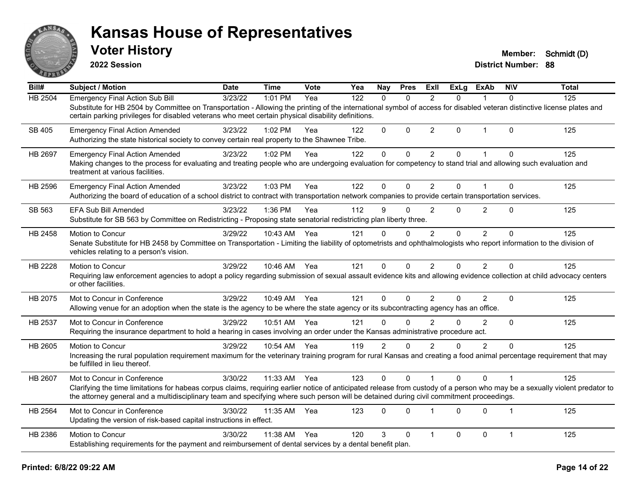

**2022 Session**

| Bill#          | <b>Subject / Motion</b>                                                                                                                                                                                                                                                                                                                                 | <b>Date</b> | <b>Time</b>  | Vote | Yea | Nay            | <b>Pres</b>  | ExII           | <b>ExLg</b> | <b>ExAb</b>    | <b>NIV</b>   | <b>Total</b> |
|----------------|---------------------------------------------------------------------------------------------------------------------------------------------------------------------------------------------------------------------------------------------------------------------------------------------------------------------------------------------------------|-------------|--------------|------|-----|----------------|--------------|----------------|-------------|----------------|--------------|--------------|
| <b>HB 2504</b> | <b>Emergency Final Action Sub Bill</b><br>Substitute for HB 2504 by Committee on Transportation - Allowing the printing of the international symbol of access for disabled veteran distinctive license plates and<br>certain parking privileges for disabled veterans who meet certain physical disability definitions.                                 | 3/23/22     | 1:01 PM      | Yea  | 122 | $\mathbf{0}$   | $\Omega$     | $\overline{2}$ | $\Omega$    | 1              | 0            | 125          |
| SB 405         | <b>Emergency Final Action Amended</b><br>Authorizing the state historical society to convey certain real property to the Shawnee Tribe.                                                                                                                                                                                                                 | 3/23/22     | 1:02 PM      | Yea  | 122 | $\Omega$       | 0            | $\overline{c}$ | 0           | 1              | 0            | 125          |
| <b>HB 2697</b> | <b>Emergency Final Action Amended</b><br>Making changes to the process for evaluating and treating people who are undergoing evaluation for competency to stand trial and allowing such evaluation and<br>treatment at various facilities.                                                                                                              | 3/23/22     | 1:02 PM      | Yea  | 122 | $\mathbf{0}$   | $\mathbf{0}$ | $\overline{2}$ | $\Omega$    | $\overline{1}$ | $\Omega$     | 125          |
| HB 2596        | <b>Emergency Final Action Amended</b><br>Authorizing the board of education of a school district to contract with transportation network companies to provide certain transportation services.                                                                                                                                                          | 3/23/22     | 1:03 PM      | Yea  | 122 | $\Omega$       | $\Omega$     | $\overline{c}$ | $\Omega$    |                | 0            | 125          |
| SB 563         | <b>EFA Sub Bill Amended</b><br>Substitute for SB 563 by Committee on Redistricting - Proposing state senatorial redistricting plan liberty three.                                                                                                                                                                                                       | 3/23/22     | 1:36 PM      | Yea  | 112 | 9              | $\Omega$     | $\overline{2}$ | $\Omega$    | 2              | 0            | 125          |
| HB 2458        | Motion to Concur<br>Senate Substitute for HB 2458 by Committee on Transportation - Limiting the liability of optometrists and ophthalmologists who report information to the division of<br>vehicles relating to a person's vision.                                                                                                                     | 3/29/22     | 10:43 AM     | Yea  | 121 | $\Omega$       | $\Omega$     | $\overline{2}$ | $\Omega$    | $\overline{2}$ | $\Omega$     | 125          |
| HB 2228        | Motion to Concur<br>Requiring law enforcement agencies to adopt a policy regarding submission of sexual assault evidence kits and allowing evidence collection at child advocacy centers<br>or other facilities.                                                                                                                                        | 3/29/22     | 10:46 AM Yea |      | 121 | $\mathbf{0}$   | $\Omega$     | $\overline{2}$ | $\Omega$    | 2              | 0            | 125          |
| HB 2075        | Mot to Concur in Conference<br>Allowing venue for an adoption when the state is the agency to be where the state agency or its subcontracting agency has an office.                                                                                                                                                                                     | 3/29/22     | 10:49 AM     | Yea  | 121 | $\mathbf{0}$   | $\Omega$     | $\overline{2}$ | $\Omega$    | $\overline{2}$ | $\Omega$     | 125          |
| HB 2537        | Mot to Concur in Conference<br>Requiring the insurance department to hold a hearing in cases involving an order under the Kansas administrative procedure act.                                                                                                                                                                                          | 3/29/22     | 10:51 AM     | Yea  | 121 | $\Omega$       | $\Omega$     | $\mathcal{P}$  | $\Omega$    | $\overline{2}$ | $\Omega$     | 125          |
| HB 2605        | Motion to Concur<br>Increasing the rural population requirement maximum for the veterinary training program for rural Kansas and creating a food animal percentage requirement that may<br>be fulfilled in lieu thereof.                                                                                                                                | 3/29/22     | 10:54 AM     | Yea  | 119 | $\overline{2}$ | $\Omega$     | $\overline{2}$ | $\Omega$    | $\overline{2}$ | 0            | 125          |
| HB 2607        | Mot to Concur in Conference<br>Clarifying the time limitations for habeas corpus claims, requiring earlier notice of anticipated release from custody of a person who may be a sexually violent predator to<br>the attorney general and a multidisciplinary team and specifying where such person will be detained during civil commitment proceedings. | 3/30/22     | 11:33 AM     | Yea  | 123 | $\mathbf 0$    | $\Omega$     |                | $\Omega$    | $\Omega$       | 1            | 125          |
| HB 2564        | Mot to Concur in Conference<br>Updating the version of risk-based capital instructions in effect.                                                                                                                                                                                                                                                       | 3/30/22     | 11:35 AM     | Yea  | 123 | $\Omega$       | $\Omega$     | $\mathbf 1$    | $\Omega$    | $\Omega$       | 1            | 125          |
| HB 2386        | Motion to Concur<br>Establishing requirements for the payment and reimbursement of dental services by a dental benefit plan.                                                                                                                                                                                                                            | 3/30/22     | 11:38 AM     | Yea  | 120 | 3              | $\mathbf{0}$ | 1              | $\Omega$    | $\mathbf 0$    | $\mathbf{1}$ | 125          |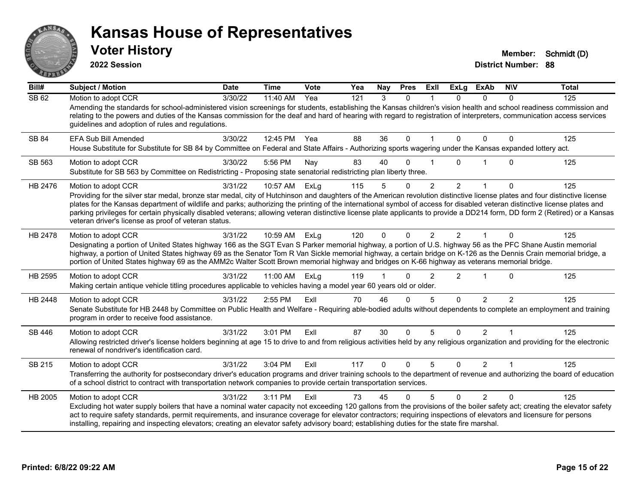

**2022 Session**

| Bill#        | <b>Subject / Motion</b>                                                                                                                                                                                                                                                                                                                                                                            | <b>Date</b> | <b>Time</b> | Vote | Yea | Nay      | <b>Pres</b>  | Exll           | <b>ExLg</b>  | <b>ExAb</b>    | <b>NIV</b>     | <b>Total</b> |
|--------------|----------------------------------------------------------------------------------------------------------------------------------------------------------------------------------------------------------------------------------------------------------------------------------------------------------------------------------------------------------------------------------------------------|-------------|-------------|------|-----|----------|--------------|----------------|--------------|----------------|----------------|--------------|
| SB 62        | Motion to adopt CCR                                                                                                                                                                                                                                                                                                                                                                                | 3/30/22     | 11:40 AM    | Yea  | 121 | 3        | $\Omega$     |                | $\Omega$     | $\Omega$       | 0              | 125          |
|              | Amending the standards for school-administered vision screenings for students, establishing the Kansas children's vision health and school readiness commission and<br>relating to the powers and duties of the Kansas commission for the deaf and hard of hearing with regard to registration of interpreters, communication access services<br>guidelines and adoption of rules and regulations. |             |             |      |     |          |              |                |              |                |                |              |
| <b>SB 84</b> | <b>EFA Sub Bill Amended</b>                                                                                                                                                                                                                                                                                                                                                                        | 3/30/22     | 12:45 PM    | Yea  | 88  | 36       | $\mathbf{0}$ |                | $\mathbf{0}$ | $\mathbf{0}$   | $\Omega$       | 125          |
|              | House Substitute for Substitute for SB 84 by Committee on Federal and State Affairs - Authorizing sports wagering under the Kansas expanded lottery act.                                                                                                                                                                                                                                           |             |             |      |     |          |              |                |              |                |                |              |
| SB 563       | Motion to adopt CCR                                                                                                                                                                                                                                                                                                                                                                                | 3/30/22     | 5:56 PM     | Nay  | 83  | 40       | 0            |                | $\Omega$     |                | 0              | 125          |
|              | Substitute for SB 563 by Committee on Redistricting - Proposing state senatorial redistricting plan liberty three.                                                                                                                                                                                                                                                                                 |             |             |      |     |          |              |                |              |                |                |              |
| HB 2476      | Motion to adopt CCR                                                                                                                                                                                                                                                                                                                                                                                | 3/31/22     | 10:57 AM    | ExLg | 115 | 5        | $\Omega$     | $\overline{2}$ | 2            |                | 0              | 125          |
|              | Providing for the silver star medal, bronze star medal, city of Hutchinson and daughters of the American revolution distinctive license plates and four distinctive license                                                                                                                                                                                                                        |             |             |      |     |          |              |                |              |                |                |              |
|              | plates for the Kansas department of wildlife and parks; authorizing the printing of the international symbol of access for disabled veteran distinctive license plates and                                                                                                                                                                                                                         |             |             |      |     |          |              |                |              |                |                |              |
|              | parking privileges for certain physically disabled veterans; allowing veteran distinctive license plate applicants to provide a DD214 form, DD form 2 (Retired) or a Kansas<br>veteran driver's license as proof of veteran status.                                                                                                                                                                |             |             |      |     |          |              |                |              |                |                |              |
| HB 2478      | Motion to adopt CCR                                                                                                                                                                                                                                                                                                                                                                                | 3/31/22     | 10:59 AM    | ExLg | 120 | $\Omega$ | 0            | $\overline{2}$ | 2            |                | 0              | 125          |
|              | Designating a portion of United States highway 166 as the SGT Evan S Parker memorial highway, a portion of U.S. highway 56 as the PFC Shane Austin memorial                                                                                                                                                                                                                                        |             |             |      |     |          |              |                |              |                |                |              |
|              | highway, a portion of United States highway 69 as the Senator Tom R Van Sickle memorial highway, a certain bridge on K-126 as the Dennis Crain memorial bridge, a<br>portion of United States highway 69 as the AMM2c Walter Scott Brown memorial highway and bridges on K-66 highway as veterans memorial bridge.                                                                                 |             |             |      |     |          |              |                |              |                |                |              |
| HB 2595      | Motion to adopt CCR                                                                                                                                                                                                                                                                                                                                                                                | 3/31/22     | 11:00 AM    | ExLg | 119 |          |              | $\mathcal{P}$  | 2            |                | $\Omega$       | 125          |
|              | Making certain antique vehicle titling procedures applicable to vehicles having a model year 60 years old or older.                                                                                                                                                                                                                                                                                |             |             |      |     |          |              |                |              |                |                |              |
| HB 2448      | Motion to adopt CCR                                                                                                                                                                                                                                                                                                                                                                                | 3/31/22     | 2:55 PM     | ExIl | 70  | 46       | $\Omega$     | 5              | $\Omega$     | 2              | $\overline{2}$ | 125          |
|              | Senate Substitute for HB 2448 by Committee on Public Health and Welfare - Requiring able-bodied adults without dependents to complete an employment and training                                                                                                                                                                                                                                   |             |             |      |     |          |              |                |              |                |                |              |
|              | program in order to receive food assistance.                                                                                                                                                                                                                                                                                                                                                       |             |             |      |     |          |              |                |              |                |                |              |
| SB 446       | Motion to adopt CCR                                                                                                                                                                                                                                                                                                                                                                                | 3/31/22     | 3:01 PM     | ExIl | 87  | 30       | $\Omega$     | 5              | $\Omega$     | 2              |                | 125          |
|              | Allowing restricted driver's license holders beginning at age 15 to drive to and from religious activities held by any religious organization and providing for the electronic<br>renewal of nondriver's identification card.                                                                                                                                                                      |             |             |      |     |          |              |                |              |                |                |              |
| SB 215       | Motion to adopt CCR                                                                                                                                                                                                                                                                                                                                                                                | 3/31/22     | 3:04 PM     | ExIl | 117 | $\Omega$ | $\mathbf{0}$ | 5              | $\Omega$     | $\overline{2}$ |                | 125          |
|              | Transferring the authority for postsecondary driver's education programs and driver training schools to the department of revenue and authorizing the board of education<br>of a school district to contract with transportation network companies to provide certain transportation services.                                                                                                     |             |             |      |     |          |              |                |              |                |                |              |
| HB 2005      | Motion to adopt CCR                                                                                                                                                                                                                                                                                                                                                                                | 3/31/22     | 3:11 PM     | FxII | 73  | 45       |              |                | $\Omega$     | 2              | U              | 125          |
|              | Excluding hot water supply boilers that have a nominal water capacity not exceeding 120 gallons from the provisions of the boiler safety act; creating the elevator safety                                                                                                                                                                                                                         |             |             |      |     |          |              |                |              |                |                |              |
|              | act to require safety standards, permit requirements, and insurance coverage for elevator contractors; requiring inspections of elevators and licensure for persons                                                                                                                                                                                                                                |             |             |      |     |          |              |                |              |                |                |              |
|              | installing, repairing and inspecting elevators; creating an elevator safety advisory board; establishing duties for the state fire marshal.                                                                                                                                                                                                                                                        |             |             |      |     |          |              |                |              |                |                |              |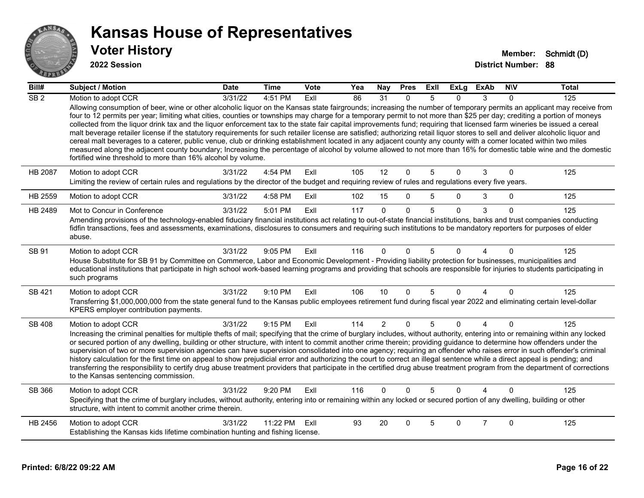

| Bill#            | <b>Subject / Motion</b>                                                                                                                                                                                                                                                                                                                                                                                                                                                                                                                                                                                                                                                                                                                                                                                                                                                                                                                                                                                                                                                                                                                          | <b>Date</b> | <b>Time</b> | <b>Vote</b> | Yea | Nay            | <b>Pres</b>  | ExII | <b>ExLg</b> | <b>ExAb</b>    | <b>NIV</b>   | <b>Total</b> |
|------------------|--------------------------------------------------------------------------------------------------------------------------------------------------------------------------------------------------------------------------------------------------------------------------------------------------------------------------------------------------------------------------------------------------------------------------------------------------------------------------------------------------------------------------------------------------------------------------------------------------------------------------------------------------------------------------------------------------------------------------------------------------------------------------------------------------------------------------------------------------------------------------------------------------------------------------------------------------------------------------------------------------------------------------------------------------------------------------------------------------------------------------------------------------|-------------|-------------|-------------|-----|----------------|--------------|------|-------------|----------------|--------------|--------------|
| $\overline{SB2}$ | Motion to adopt CCR<br>Allowing consumption of beer, wine or other alcoholic liquor on the Kansas state fairgrounds; increasing the number of temporary permits an applicant may receive from<br>four to 12 permits per year; limiting what cities, counties or townships may charge for a temporary permit to not more than \$25 per day; crediting a portion of moneys<br>collected from the liquor drink tax and the liquor enforcement tax to the state fair capital improvements fund; requiring that licensed farm wineries be issued a cereal<br>malt beverage retailer license if the statutory requirements for such retailer license are satisfied; authorizing retail liquor stores to sell and deliver alcoholic liquor and<br>cereal malt beverages to a caterer, public venue, club or drinking establishment located in any adjacent county any county with a comer located within two miles<br>measured along the adjacent county boundary; Increasing the percentage of alcohol by volume allowed to not more than 16% for domestic table wine and the domestic<br>fortified wine threshold to more than 16% alcohol by volume. | 3/31/22     | 4:51 PM     | ExII        | 86  | 31             | $\mathbf{0}$ | 5    | $\Omega$    | 3              | $\Omega$     | 125          |
| <b>HB 2087</b>   | Motion to adopt CCR<br>Limiting the review of certain rules and regulations by the director of the budget and requiring review of rules and regulations every five years.                                                                                                                                                                                                                                                                                                                                                                                                                                                                                                                                                                                                                                                                                                                                                                                                                                                                                                                                                                        | 3/31/22     | 4:54 PM     | ExIl        | 105 | 12             | $\Omega$     | 5    | $\Omega$    | 3              | $\Omega$     | 125          |
| HB 2559          | Motion to adopt CCR                                                                                                                                                                                                                                                                                                                                                                                                                                                                                                                                                                                                                                                                                                                                                                                                                                                                                                                                                                                                                                                                                                                              | 3/31/22     | 4:58 PM     | Exll        | 102 | 15             | $\Omega$     | 5    | 0           | 3              | $\mathbf{0}$ | 125          |
| HB 2489          | Mot to Concur in Conference<br>Amending provisions of the technology-enabled fiduciary financial institutions act relating to out-of-state financial institutions, banks and trust companies conducting<br>fidfin transactions, fees and assessments, examinations, disclosures to consumers and requiring such institutions to be mandatory reporters for purposes of elder<br>abuse.                                                                                                                                                                                                                                                                                                                                                                                                                                                                                                                                                                                                                                                                                                                                                           | 3/31/22     | 5:01 PM     | Exll        | 117 | $\Omega$       | $\Omega$     | 5    | $\Omega$    | 3              | $\Omega$     | 125          |
| SB 91            | Motion to adopt CCR<br>House Substitute for SB 91 by Committee on Commerce, Labor and Economic Development - Providing liability protection for businesses, municipalities and<br>educational institutions that participate in high school work-based learning programs and providing that schools are responsible for injuries to students participating in<br>such programs                                                                                                                                                                                                                                                                                                                                                                                                                                                                                                                                                                                                                                                                                                                                                                    | 3/31/22     | 9:05 PM     | ExIl        | 116 | $\Omega$       | $\Omega$     | 5    | 0           |                | $\Omega$     | 125          |
| SB 421           | Motion to adopt CCR<br>Transferring \$1,000,000,000 from the state general fund to the Kansas public employees retirement fund during fiscal year 2022 and eliminating certain level-dollar<br>KPERS employer contribution payments.                                                                                                                                                                                                                                                                                                                                                                                                                                                                                                                                                                                                                                                                                                                                                                                                                                                                                                             | 3/31/22     | 9:10 PM     | ExIl        | 106 | 10             | $\Omega$     | 5    | $\Omega$    | 4              | $\Omega$     | 125          |
| <b>SB 408</b>    | Motion to adopt CCR<br>Increasing the criminal penalties for multiple thefts of mail; specifying that the crime of burglary includes, without authority, entering into or remaining within any locked<br>or secured portion of any dwelling, building or other structure, with intent to commit another crime therein; providing guidance to determine how offenders under the<br>supervision of two or more supervision agencies can have supervision consolidated into one agency; requiring an offender who raises error in such offender's criminal<br>history calculation for the first time on appeal to show prejudicial error and authorizing the court to correct an illegal sentence while a direct appeal is pending; and<br>transferring the responsibility to certify drug abuse treatment providers that participate in the certified drug abuse treatment program from the department of corrections<br>to the Kansas sentencing commission.                                                                                                                                                                                      | 3/31/22     | 9:15 PM     | ExIl        | 114 | $\overline{2}$ | $\mathbf 0$  | 5    | $\mathbf 0$ | $\overline{4}$ | $\mathbf{0}$ | 125          |
| SB 366           | Motion to adopt CCR<br>Specifying that the crime of burglary includes, without authority, entering into or remaining within any locked or secured portion of any dwelling, building or other<br>structure, with intent to commit another crime therein.                                                                                                                                                                                                                                                                                                                                                                                                                                                                                                                                                                                                                                                                                                                                                                                                                                                                                          | 3/31/22     | 9:20 PM     | ExIl        | 116 | $\Omega$       | $\Omega$     | 5    | $\Omega$    |                | $\Omega$     | 125          |
| HB 2456          | Motion to adopt CCR<br>Establishing the Kansas kids lifetime combination hunting and fishing license.                                                                                                                                                                                                                                                                                                                                                                                                                                                                                                                                                                                                                                                                                                                                                                                                                                                                                                                                                                                                                                            | 3/31/22     | 11:22 PM    | Exll        | 93  | 20             | $\Omega$     | 5    | $\Omega$    | $\overline{7}$ | $\Omega$     | 125          |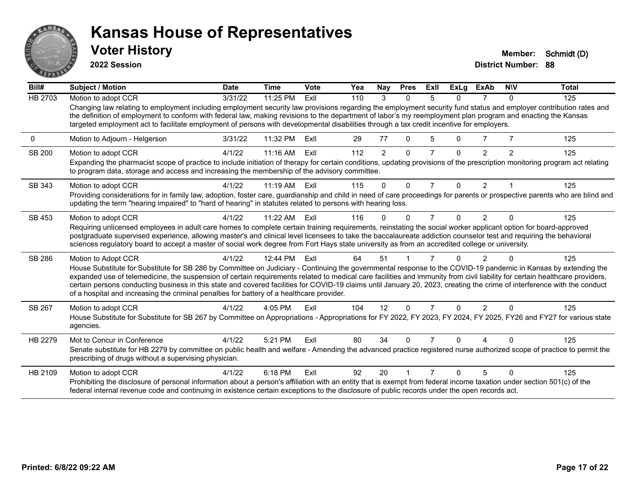

**2022 Session**

| Bill#   | <b>Subject / Motion</b>                                                                                                                                                                                                                                                                                                                                                                                                                                                                                                                                                                                                 | <b>Date</b> | <b>Time</b> | Vote | Yea | Nay      | <b>Pres</b>  | ExII           | <b>ExLg</b> | <b>ExAb</b>    | <b>NIV</b>     | <b>Total</b> |
|---------|-------------------------------------------------------------------------------------------------------------------------------------------------------------------------------------------------------------------------------------------------------------------------------------------------------------------------------------------------------------------------------------------------------------------------------------------------------------------------------------------------------------------------------------------------------------------------------------------------------------------------|-------------|-------------|------|-----|----------|--------------|----------------|-------------|----------------|----------------|--------------|
| HB 2703 | Motion to adopt CCR                                                                                                                                                                                                                                                                                                                                                                                                                                                                                                                                                                                                     | 3/31/22     | 11:25 PM    | ExII | 110 | 3        | $\Omega$     | 5              | U           |                | $\mathbf{0}$   | 125          |
|         | Changing law relating to employment including employment security law provisions regarding the employment security fund status and employer contribution rates and<br>the definition of employment to conform with federal law, making revisions to the department of labor's my reemployment plan program and enacting the Kansas<br>targeted employment act to facilitate employment of persons with developmental disabilities through a tax credit incentive for employers.                                                                                                                                         |             |             |      |     |          |              |                |             |                |                |              |
| 0       | Motion to Adjourn - Helgerson                                                                                                                                                                                                                                                                                                                                                                                                                                                                                                                                                                                           | 3/31/22     | 11:32 PM    | ExII | 29  | 77       | $\mathbf{0}$ | 5              | 0           | 7              | $\overline{7}$ | 125          |
| SB 200  | Motion to adopt CCR<br>Expanding the pharmacist scope of practice to include initiation of therapy for certain conditions, updating provisions of the prescription monitoring program act relating<br>to program data, storage and access and increasing the membership of the advisory committee.                                                                                                                                                                                                                                                                                                                      | 4/1/22      | $11:16$ AM  | ExII | 112 | 2        | $\Omega$     |                | n           | $\overline{2}$ | $\overline{2}$ | 125          |
| SB 343  | Motion to adopt CCR                                                                                                                                                                                                                                                                                                                                                                                                                                                                                                                                                                                                     | 4/1/22      | $11:19$ AM  | Exll | 115 | $\Omega$ | $\mathbf{0}$ | $\overline{7}$ | $\Omega$    | 2              |                | 125          |
|         | Providing considerations for in family law, adoption, foster care, guardianship and child in need of care proceedings for parents or prospective parents who are blind and<br>updating the term "hearing impaired" to "hard of hearing" in statutes related to persons with hearing loss.                                                                                                                                                                                                                                                                                                                               |             |             |      |     |          |              |                |             |                |                |              |
| SB 453  | Motion to adopt CCR                                                                                                                                                                                                                                                                                                                                                                                                                                                                                                                                                                                                     | 4/1/22      | 11:22 AM    | Exll | 116 | 0        | $\Omega$     | 7              | 0           | $\mathfrak{p}$ | $\Omega$       | 125          |
|         | Requiring unlicensed employees in adult care homes to complete certain training requirements, reinstating the social worker applicant option for board-approved<br>postgraduate supervised experience, allowing master's and clinical level licensees to take the baccalaureate addiction counselor test and requiring the behavioral<br>sciences regulatory board to accept a master of social work degree from Fort Hays state university as from an accredited college or university.                                                                                                                                |             |             |      |     |          |              |                |             |                |                |              |
| SB 286  | Motion to Adopt CCR                                                                                                                                                                                                                                                                                                                                                                                                                                                                                                                                                                                                     | 4/1/22      | 12:44 PM    | Exll | 64  | 51       |              |                |             |                |                | 125          |
|         | House Substitute for Substitute for SB 286 by Committee on Judiciary - Continuing the governmental response to the COVID-19 pandemic in Kansas by extending the<br>expanded use of telemedicine, the suspension of certain requirements related to medical care facilities and immunity from civil liability for certain healthcare providers,<br>certain persons conducting business in this state and covered facilities for COVID-19 claims until January 20, 2023, creating the crime of interference with the conduct<br>of a hospital and increasing the criminal penalties for battery of a healthcare provider. |             |             |      |     |          |              |                |             |                |                |              |
| SB 267  | Motion to adopt CCR                                                                                                                                                                                                                                                                                                                                                                                                                                                                                                                                                                                                     | 4/1/22      | $4:05$ PM   | ExII | 104 | 12       | $\Omega$     |                | $\Omega$    | $\mathcal{P}$  | $\Omega$       | 125          |
|         | House Substitute for Substitute for SB 267 by Committee on Appropriations - Appropriations for FY 2022, FY 2023, FY 2024, FY 2025, FY26 and FY27 for various state<br>agencies.                                                                                                                                                                                                                                                                                                                                                                                                                                         |             |             |      |     |          |              |                |             |                |                |              |
| HB 2279 | Mot to Concur in Conference<br>Senate substitute for HB 2279 by committee on public health and welfare - Amending the advanced practice registered nurse authorized scope of practice to permit the                                                                                                                                                                                                                                                                                                                                                                                                                     | 4/1/22      | 5:21 PM     | ExII | 80  | 34       | 0            |                |             |                | ∩              | 125          |
|         | prescribing of drugs without a supervising physician.                                                                                                                                                                                                                                                                                                                                                                                                                                                                                                                                                                   |             |             |      |     |          |              |                |             |                |                |              |
| HB 2109 | Motion to adopt CCR                                                                                                                                                                                                                                                                                                                                                                                                                                                                                                                                                                                                     | 4/1/22      | 6:18 PM     | ExII | 92  | 20       |              |                | U           | 5              | $\Omega$       | 125          |
|         | Prohibiting the disclosure of personal information about a person's affiliation with an entity that is exempt from federal income taxation under section 501(c) of the<br>federal internal revenue code and continuing in existence certain exceptions to the disclosure of public records under the open records act.                                                                                                                                                                                                                                                                                                  |             |             |      |     |          |              |                |             |                |                |              |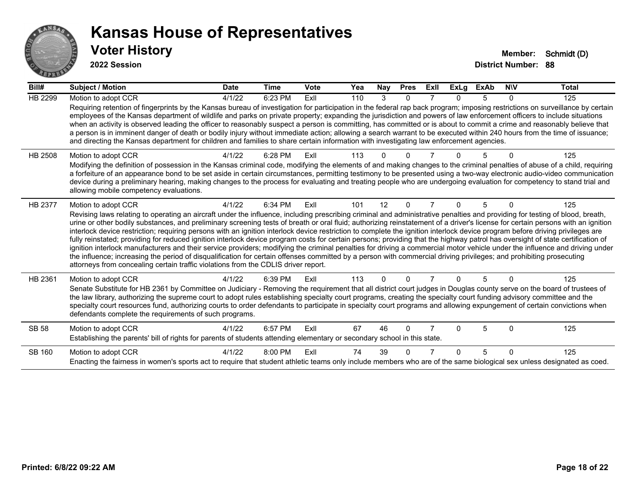

| Bill#          | <b>Subject / Motion</b>                                                                                                                                                                                                                                                                                                                                                                                                                                                                                                                                                                                                                                                                                                                                                                                                                                                                                                                                                                                                                                                                                                                                                                               | <b>Date</b> | <b>Time</b> | Vote | Yea | Nay      | <b>Pres</b> | ExII | <b>ExLg</b> | <b>ExAb</b> | <b>NIV</b> | <b>Total</b> |
|----------------|-------------------------------------------------------------------------------------------------------------------------------------------------------------------------------------------------------------------------------------------------------------------------------------------------------------------------------------------------------------------------------------------------------------------------------------------------------------------------------------------------------------------------------------------------------------------------------------------------------------------------------------------------------------------------------------------------------------------------------------------------------------------------------------------------------------------------------------------------------------------------------------------------------------------------------------------------------------------------------------------------------------------------------------------------------------------------------------------------------------------------------------------------------------------------------------------------------|-------------|-------------|------|-----|----------|-------------|------|-------------|-------------|------------|--------------|
| <b>HB 2299</b> | Motion to adopt CCR                                                                                                                                                                                                                                                                                                                                                                                                                                                                                                                                                                                                                                                                                                                                                                                                                                                                                                                                                                                                                                                                                                                                                                                   | 4/1/22      | 6:23 PM     | ExII | 110 | 3        | $\Omega$    |      | n.          | 5           | 0          | 125          |
|                | Requiring retention of fingerprints by the Kansas bureau of investigation for participation in the federal rap back program; imposing restrictions on surveillance by certain<br>employees of the Kansas department of wildlife and parks on private property; expanding the jurisdiction and powers of law enforcement officers to include situations<br>when an activity is observed leading the officer to reasonably suspect a person is committing, has committed or is about to commit a crime and reasonably believe that<br>a person is in imminent danger of death or bodily injury without immediate action; allowing a search warrant to be executed within 240 hours from the time of issuance;<br>and directing the Kansas department for children and families to share certain information with investigating law enforcement agencies.                                                                                                                                                                                                                                                                                                                                                |             |             |      |     |          |             |      |             |             |            |              |
| HB 2508        | Motion to adopt CCR<br>Modifying the definition of possession in the Kansas criminal code, modifying the elements of and making changes to the criminal penalties of abuse of a child, requiring<br>a forfeiture of an appearance bond to be set aside in certain circumstances, permitting testimony to be presented using a two-way electronic audio-video communication<br>device during a preliminary hearing, making changes to the process for evaluating and treating people who are undergoing evaluation for competency to stand trial and<br>allowing mobile competency evaluations.                                                                                                                                                                                                                                                                                                                                                                                                                                                                                                                                                                                                        | 4/1/22      | 6:28 PM     | Exll | 113 |          |             |      |             |             |            | 125          |
| <b>HB 2377</b> | Motion to adopt CCR<br>Revising laws relating to operating an aircraft under the influence, including prescribing criminal and administrative penalties and providing for testing of blood, breath,<br>urine or other bodily substances, and preliminary screening tests of breath or oral fluid; authorizing reinstatement of a driver's license for certain persons with an ignition<br>interlock device restriction; requiring persons with an ignition interlock device restriction to complete the ignition interlock device program before driving privileges are<br>fully reinstated; providing for reduced ignition interlock device program costs for certain persons; providing that the highway patrol has oversight of state certification of<br>ignition interlock manufacturers and their service providers; modifying the criminal penalties for driving a commercial motor vehicle under the influence and driving under<br>the influence; increasing the period of disqualification for certain offenses committed by a person with commercial driving privileges; and prohibiting prosecuting<br>attorneys from concealing certain traffic violations from the CDLIS driver report. | 4/1/22      | 6:34 PM     | ExII | 101 | 12       | $\Omega$    |      | 0           | 5           | $\Omega$   | 125          |
| HB 2361        | Motion to adopt CCR<br>Senate Substitute for HB 2361 by Committee on Judiciary - Removing the requirement that all district court judges in Douglas county serve on the board of trustees of<br>the law library, authorizing the supreme court to adopt rules establishing specialty court programs, creating the specialty court funding advisory committee and the<br>specialty court resources fund, authorizing courts to order defendants to participate in specialty court programs and allowing expungement of certain convictions when<br>defendants complete the requirements of such programs.                                                                                                                                                                                                                                                                                                                                                                                                                                                                                                                                                                                              | 4/1/22      | 6:39 PM     | ExII | 113 | $\Omega$ | $\Omega$    |      | n           | 5           | $\Omega$   | 125          |
| <b>SB 58</b>   | Motion to adopt CCR<br>Establishing the parents' bill of rights for parents of students attending elementary or secondary school in this state.                                                                                                                                                                                                                                                                                                                                                                                                                                                                                                                                                                                                                                                                                                                                                                                                                                                                                                                                                                                                                                                       | 4/1/22      | 6:57 PM     | ExII | 67  | 46       | $\Omega$    |      | n           | 5           | $\Omega$   | 125          |
| SB 160         | Motion to adopt CCR<br>Enacting the fairness in women's sports act to require that student athletic teams only include members who are of the same biological sex unless designated as coed.                                                                                                                                                                                                                                                                                                                                                                                                                                                                                                                                                                                                                                                                                                                                                                                                                                                                                                                                                                                                          | 4/1/22      | 8:00 PM     | Exll | 74  | 39       | ∩           |      | U           | 5           | $\Omega$   | 125          |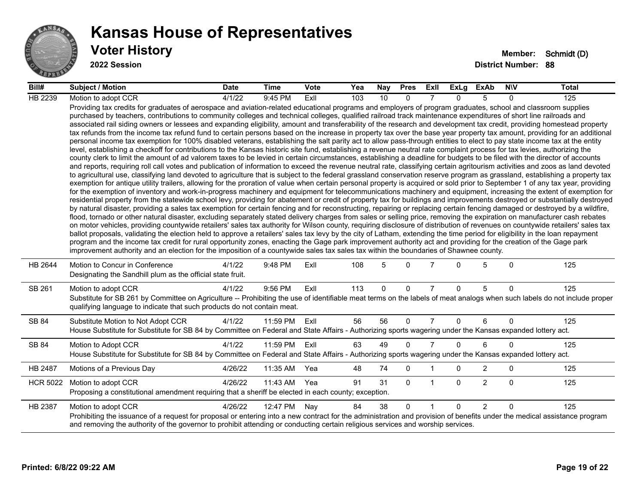

| Bill#           | <b>Subject / Motion</b>                                                                                                                                                                                                                                                                                                                                                                                                                                                                                                                                                                                                                                                                                                                                                                                                                                                                                                                                                                                                                                                                                                                                                                                                                                                                                                                                                                                                                                                                                                                                                                                                                                                                                                                                                                                                                                                                                                                                                                                                                                                                                                                                                                                                                                                                                                                                                                                                                                                                                                                                                                                                                                                                                                                                                                                                                                                                                                                                                                                                                                                                                                                                                     | <b>Date</b> | <b>Time</b> | <b>Vote</b> | Yea | Nay      | <b>Pres</b> | ExII           | ExLg     | ExAb           | <b>NIV</b>   | Total |
|-----------------|-----------------------------------------------------------------------------------------------------------------------------------------------------------------------------------------------------------------------------------------------------------------------------------------------------------------------------------------------------------------------------------------------------------------------------------------------------------------------------------------------------------------------------------------------------------------------------------------------------------------------------------------------------------------------------------------------------------------------------------------------------------------------------------------------------------------------------------------------------------------------------------------------------------------------------------------------------------------------------------------------------------------------------------------------------------------------------------------------------------------------------------------------------------------------------------------------------------------------------------------------------------------------------------------------------------------------------------------------------------------------------------------------------------------------------------------------------------------------------------------------------------------------------------------------------------------------------------------------------------------------------------------------------------------------------------------------------------------------------------------------------------------------------------------------------------------------------------------------------------------------------------------------------------------------------------------------------------------------------------------------------------------------------------------------------------------------------------------------------------------------------------------------------------------------------------------------------------------------------------------------------------------------------------------------------------------------------------------------------------------------------------------------------------------------------------------------------------------------------------------------------------------------------------------------------------------------------------------------------------------------------------------------------------------------------------------------------------------------------------------------------------------------------------------------------------------------------------------------------------------------------------------------------------------------------------------------------------------------------------------------------------------------------------------------------------------------------------------------------------------------------------------------------------------------------|-------------|-------------|-------------|-----|----------|-------------|----------------|----------|----------------|--------------|-------|
| HB 2239         | Motion to adopt CCR                                                                                                                                                                                                                                                                                                                                                                                                                                                                                                                                                                                                                                                                                                                                                                                                                                                                                                                                                                                                                                                                                                                                                                                                                                                                                                                                                                                                                                                                                                                                                                                                                                                                                                                                                                                                                                                                                                                                                                                                                                                                                                                                                                                                                                                                                                                                                                                                                                                                                                                                                                                                                                                                                                                                                                                                                                                                                                                                                                                                                                                                                                                                                         | 4/1/22      | 9:45 PM     | ExII        | 103 | 10       | $\Omega$    |                | $\Omega$ | 5              | $\Omega$     | 125   |
|                 | Providing tax credits for graduates of aerospace and aviation-related educational programs and employers of program graduates, school and classroom supplies<br>purchased by teachers, contributions to community colleges and technical colleges, qualified railroad track maintenance expenditures of short line railroads and<br>associated rail siding owners or lessees and expanding eligibility, amount and transferability of the research and development tax credit, providing homestead property<br>tax refunds from the income tax refund fund to certain persons based on the increase in property tax over the base year property tax amount, providing for an additional<br>personal income tax exemption for 100% disabled veterans, establishing the salt parity act to allow pass-through entities to elect to pay state income tax at the entity<br>level, establishing a checkoff for contributions to the Kansas historic site fund, establishing a revenue neutral rate complaint process for tax levies, authorizing the<br>county clerk to limit the amount of ad valorem taxes to be levied in certain circumstances, establishing a deadline for budgets to be filed with the director of accounts<br>and reports, requiring roll call votes and publication of information to exceed the revenue neutral rate, classifying certain agritourism activities and zoos as land devoted<br>to agricultural use, classifying land devoted to agriculture that is subject to the federal grassland conservation reserve program as grassland, establishing a property tax<br>exemption for antique utility trailers, allowing for the proration of value when certain personal property is acquired or sold prior to September 1 of any tax year, providing<br>for the exemption of inventory and work-in-progress machinery and equipment for telecommunications machinery and equipment, increasing the extent of exemption for<br>residential property from the statewide school levy, providing for abatement or credit of property tax for buildings and improvements destroyed or substantially destroyed<br>by natural disaster, providing a sales tax exemption for certain fencing and for reconstructing, repairing or replacing certain fencing damaged or destroyed by a wildfire,<br>flood, tornado or other natural disaster, excluding separately stated delivery charges from sales or selling price, removing the expiration on manufacturer cash rebates<br>on motor vehicles, providing countywide retailers' sales tax authority for Wilson county, requiring disclosure of distribution of revenues on countywide retailers' sales tax<br>ballot proposals, validating the election held to approve a retailers' sales tax levy by the city of Latham, extending the time period for eligibility in the loan repayment<br>program and the income tax credit for rural opportunity zones, enacting the Gage park improvement authority act and providing for the creation of the Gage park<br>improvement authority and an election for the imposition of a countywide sales tax sales tax within the boundaries of Shawnee county. |             |             |             |     |          |             |                |          |                |              |       |
| HB 2644         | Motion to Concur in Conference<br>Designating the Sandhill plum as the official state fruit.                                                                                                                                                                                                                                                                                                                                                                                                                                                                                                                                                                                                                                                                                                                                                                                                                                                                                                                                                                                                                                                                                                                                                                                                                                                                                                                                                                                                                                                                                                                                                                                                                                                                                                                                                                                                                                                                                                                                                                                                                                                                                                                                                                                                                                                                                                                                                                                                                                                                                                                                                                                                                                                                                                                                                                                                                                                                                                                                                                                                                                                                                | 4/1/22      | 9:48 PM     | ExIl        | 108 | 5        | $\Omega$    |                | 0        | 5              | $\mathbf{0}$ | 125   |
| SB 261          | Motion to adopt CCR<br>Substitute for SB 261 by Committee on Agriculture -- Prohibiting the use of identifiable meat terms on the labels of meat analogs when such labels do not include proper<br>qualifying language to indicate that such products do not contain meat.                                                                                                                                                                                                                                                                                                                                                                                                                                                                                                                                                                                                                                                                                                                                                                                                                                                                                                                                                                                                                                                                                                                                                                                                                                                                                                                                                                                                                                                                                                                                                                                                                                                                                                                                                                                                                                                                                                                                                                                                                                                                                                                                                                                                                                                                                                                                                                                                                                                                                                                                                                                                                                                                                                                                                                                                                                                                                                  | 4/1/22      | 9:56 PM     | ExIl        | 113 | $\Omega$ | $\Omega$    | $\overline{7}$ | $\Omega$ | 5              | $\mathbf{0}$ | 125   |
| SB 84           | Substitute Motion to Not Adopt CCR<br>House Substitute for Substitute for SB 84 by Committee on Federal and State Affairs - Authorizing sports wagering under the Kansas expanded lottery act.                                                                                                                                                                                                                                                                                                                                                                                                                                                                                                                                                                                                                                                                                                                                                                                                                                                                                                                                                                                                                                                                                                                                                                                                                                                                                                                                                                                                                                                                                                                                                                                                                                                                                                                                                                                                                                                                                                                                                                                                                                                                                                                                                                                                                                                                                                                                                                                                                                                                                                                                                                                                                                                                                                                                                                                                                                                                                                                                                                              | 4/1/22      | 11:59 PM    | Exll        | 56  | 56       | $\Omega$    | $\overline{7}$ | $\Omega$ | 6              | $\Omega$     | 125   |
| SB 84           | Motion to Adopt CCR<br>House Substitute for Substitute for SB 84 by Committee on Federal and State Affairs - Authorizing sports wagering under the Kansas expanded lottery act.                                                                                                                                                                                                                                                                                                                                                                                                                                                                                                                                                                                                                                                                                                                                                                                                                                                                                                                                                                                                                                                                                                                                                                                                                                                                                                                                                                                                                                                                                                                                                                                                                                                                                                                                                                                                                                                                                                                                                                                                                                                                                                                                                                                                                                                                                                                                                                                                                                                                                                                                                                                                                                                                                                                                                                                                                                                                                                                                                                                             | 4/1/22      | 11:59 PM    | Exll        | 63  | 49       | $\Omega$    | $\overline{7}$ | $\Omega$ | 6              | $\Omega$     | 125   |
| HB 2487         | Motions of a Previous Day                                                                                                                                                                                                                                                                                                                                                                                                                                                                                                                                                                                                                                                                                                                                                                                                                                                                                                                                                                                                                                                                                                                                                                                                                                                                                                                                                                                                                                                                                                                                                                                                                                                                                                                                                                                                                                                                                                                                                                                                                                                                                                                                                                                                                                                                                                                                                                                                                                                                                                                                                                                                                                                                                                                                                                                                                                                                                                                                                                                                                                                                                                                                                   | 4/26/22     | 11:35 AM    | Yea         | 48  | 74       | 0           |                | 0        | $\overline{2}$ | $\mathbf 0$  | 125   |
| <b>HCR 5022</b> | Motion to adopt CCR<br>Proposing a constitutional amendment requiring that a sheriff be elected in each county; exception.                                                                                                                                                                                                                                                                                                                                                                                                                                                                                                                                                                                                                                                                                                                                                                                                                                                                                                                                                                                                                                                                                                                                                                                                                                                                                                                                                                                                                                                                                                                                                                                                                                                                                                                                                                                                                                                                                                                                                                                                                                                                                                                                                                                                                                                                                                                                                                                                                                                                                                                                                                                                                                                                                                                                                                                                                                                                                                                                                                                                                                                  | 4/26/22     | 11:43 AM    | Yea         | 91  | 31       | $\Omega$    | -1             | $\Omega$ | $\overline{2}$ | $\mathbf{0}$ | 125   |
| HB 2387         | Motion to adopt CCR<br>Prohibiting the issuance of a request for proposal or entering into a new contract for the administration and provision of benefits under the medical assistance program<br>and removing the authority of the governor to prohibit attending or conducting certain religious services and worship services.                                                                                                                                                                                                                                                                                                                                                                                                                                                                                                                                                                                                                                                                                                                                                                                                                                                                                                                                                                                                                                                                                                                                                                                                                                                                                                                                                                                                                                                                                                                                                                                                                                                                                                                                                                                                                                                                                                                                                                                                                                                                                                                                                                                                                                                                                                                                                                                                                                                                                                                                                                                                                                                                                                                                                                                                                                          | 4/26/22     | 12:47 PM    | Nay         | 84  | 38       | $\Omega$    | $\overline{1}$ | $\Omega$ | 2              | $\Omega$     | 125   |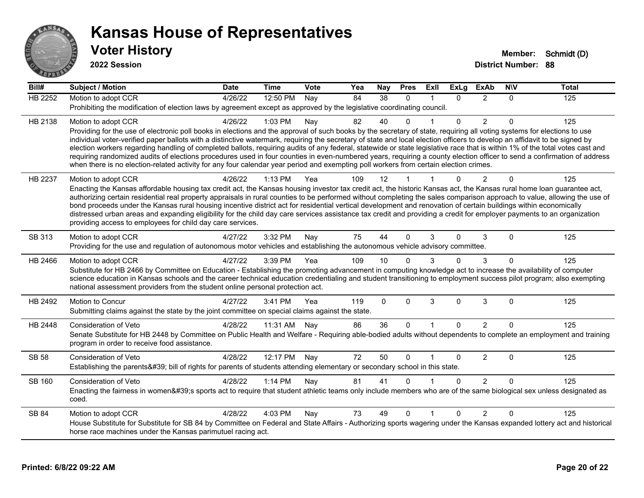

| Bill#          | <b>Subject / Motion</b>                                                                                                                                                                                                                                                                                                                                    | <b>Date</b> | <b>Time</b> | Vote | Yea | Nay          | <b>Pres</b>  | ExIl                 | <b>ExLg</b>  | <b>ExAb</b>    | <b>NIV</b> | <b>Total</b> |
|----------------|------------------------------------------------------------------------------------------------------------------------------------------------------------------------------------------------------------------------------------------------------------------------------------------------------------------------------------------------------------|-------------|-------------|------|-----|--------------|--------------|----------------------|--------------|----------------|------------|--------------|
| <b>HB 2252</b> | Motion to adopt CCR                                                                                                                                                                                                                                                                                                                                        | 4/26/22     | 12:50 PM    | Nav  | 84  | 38           | $\Omega$     | 1                    | $\Omega$     | 2              | 0          | 125          |
|                | Prohibiting the modification of election laws by agreement except as approved by the legislative coordinating council.                                                                                                                                                                                                                                     |             |             |      |     |              |              |                      |              |                |            |              |
| HB 2138        | Motion to adopt CCR                                                                                                                                                                                                                                                                                                                                        | 4/26/22     | 1:03 PM     | Nay  | 82  | 40           | $\Omega$     |                      | 0            | $\overline{2}$ | $\Omega$   | 125          |
|                | Providing for the use of electronic poll books in elections and the approval of such books by the secretary of state, requiring all voting systems for elections to use                                                                                                                                                                                    |             |             |      |     |              |              |                      |              |                |            |              |
|                | individual voter-verified paper ballots with a distinctive watermark, requiring the secretary of state and local election officers to develop an affidavit to be signed by<br>election workers regarding handling of completed ballots, requiring audits of any federal, statewide or state legislative race that is within 1% of the total votes cast and |             |             |      |     |              |              |                      |              |                |            |              |
|                | requiring randomized audits of elections procedures used in four counties in even-numbered years, requiring a county election officer to send a confirmation of address                                                                                                                                                                                    |             |             |      |     |              |              |                      |              |                |            |              |
|                | when there is no election-related activity for any four calendar year period and exempting poll workers from certain election crimes.                                                                                                                                                                                                                      |             |             |      |     |              |              |                      |              |                |            |              |
| HB 2237        | Motion to adopt CCR                                                                                                                                                                                                                                                                                                                                        | 4/26/22     | $1:13$ PM   | Yea  | 109 | 12           |              |                      | $\Omega$     | $\overline{2}$ | $\Omega$   | 125          |
|                | Enacting the Kansas affordable housing tax credit act, the Kansas housing investor tax credit act, the historic Kansas act, the Kansas rural home loan guarantee act,                                                                                                                                                                                      |             |             |      |     |              |              |                      |              |                |            |              |
|                | authorizing certain residential real property appraisals in rural counties to be performed without completing the sales comparison approach to value, allowing the use of<br>bond proceeds under the Kansas rural housing incentive district act for residential vertical development and renovation of certain buildings within economically              |             |             |      |     |              |              |                      |              |                |            |              |
|                | distressed urban areas and expanding eligibility for the child day care services assistance tax credit and providing a credit for employer payments to an organization                                                                                                                                                                                     |             |             |      |     |              |              |                      |              |                |            |              |
|                | providing access to employees for child day care services.                                                                                                                                                                                                                                                                                                 |             |             |      |     |              |              |                      |              |                |            |              |
| SB 313         | Motion to adopt CCR                                                                                                                                                                                                                                                                                                                                        | 4/27/22     | 3:32 PM     | Nay  | 75  | 44           | $\mathbf{0}$ | 3                    | $\mathbf{0}$ | 3              | $\Omega$   | 125          |
|                | Providing for the use and regulation of autonomous motor vehicles and establishing the autonomous vehicle advisory committee.                                                                                                                                                                                                                              |             |             |      |     |              |              |                      |              |                |            |              |
| HB 2466        | Motion to adopt CCR                                                                                                                                                                                                                                                                                                                                        | 4/27/22     | 3:39 PM     | Yea  | 109 | 10           | $\Omega$     |                      | $\Omega$     | 3              | $\Omega$   | 125          |
|                | Substitute for HB 2466 by Committee on Education - Establishing the promoting advancement in computing knowledge act to increase the availability of computer                                                                                                                                                                                              |             |             |      |     |              |              |                      |              |                |            |              |
|                | science education in Kansas schools and the career technical education credentialing and student transitioning to employment success pilot program; also exempting<br>national assessment providers from the student online personal protection act.                                                                                                       |             |             |      |     |              |              |                      |              |                |            |              |
| HB 2492        | Motion to Concur                                                                                                                                                                                                                                                                                                                                           | 4/27/22     | 3:41 PM     | Yea  | 119 | $\mathbf{0}$ | $\mathbf 0$  | 3                    | $\mathbf 0$  | 3              | $\Omega$   | 125          |
|                | Submitting claims against the state by the joint committee on special claims against the state.                                                                                                                                                                                                                                                            |             |             |      |     |              |              |                      |              |                |            |              |
| HB 2448        | <b>Consideration of Veto</b>                                                                                                                                                                                                                                                                                                                               | 4/28/22     | 11:31 AM    | Nav  | 86  | 36           | $\Omega$     | $\overline{1}$       | $\Omega$     | $\overline{2}$ | $\Omega$   | 125          |
|                | Senate Substitute for HB 2448 by Committee on Public Health and Welfare - Requiring able-bodied adults without dependents to complete an employment and training                                                                                                                                                                                           |             |             |      |     |              |              |                      |              |                |            |              |
|                | program in order to receive food assistance.                                                                                                                                                                                                                                                                                                               |             |             |      |     |              |              |                      |              |                |            |              |
| <b>SB 58</b>   | Consideration of Veto                                                                                                                                                                                                                                                                                                                                      | 4/28/22     | 12:17 PM    | Nay  | 72  | 50           | $\mathbf{0}$ | $\blacktriangleleft$ | $\mathbf{0}$ | $\overline{2}$ | $\Omega$   | 125          |
|                | Establishing the parents' bill of rights for parents of students attending elementary or secondary school in this state.                                                                                                                                                                                                                                   |             |             |      |     |              |              |                      |              |                |            |              |
| <b>SB 160</b>  | Consideration of Veto                                                                                                                                                                                                                                                                                                                                      | 4/28/22     | 1:14 PM     | Nay  | 81  | 41           | $\Omega$     |                      | $\Omega$     | $\mathcal{P}$  | $\Omega$   | 125          |
|                | Enacting the fairness in women's sports act to require that student athletic teams only include members who are of the same biological sex unless designated as                                                                                                                                                                                            |             |             |      |     |              |              |                      |              |                |            |              |
|                | coed.                                                                                                                                                                                                                                                                                                                                                      |             |             |      |     |              |              |                      |              |                |            |              |
| SB 84          | Motion to adopt CCR                                                                                                                                                                                                                                                                                                                                        | 4/28/22     | 4:03 PM     | Nay  | 73  | 49           | $\Omega$     |                      | 0            | $\overline{2}$ | $\Omega$   | 125          |
|                | House Substitute for Substitute for SB 84 by Committee on Federal and State Affairs - Authorizing sports wagering under the Kansas expanded lottery act and historical                                                                                                                                                                                     |             |             |      |     |              |              |                      |              |                |            |              |
|                | horse race machines under the Kansas parimutuel racing act.                                                                                                                                                                                                                                                                                                |             |             |      |     |              |              |                      |              |                |            |              |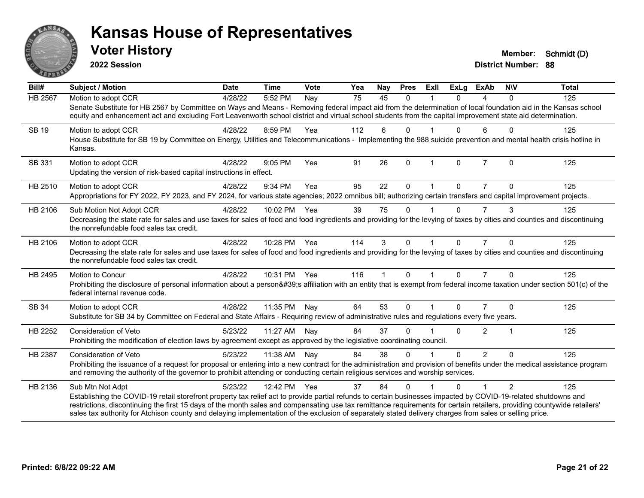

**2022 Session**

| $\overline{Bill#}$ | Subject / Motion                                                                                                                                                                                                                                                                                                                                                                                                                                                                                                           | <b>Date</b> | <b>Time</b>  | Vote | Yea             | Nay          | <b>Pres</b>  | ExII        | <b>ExLg</b> | <b>ExAb</b>    | <b>NIV</b>     | <b>Total</b> |
|--------------------|----------------------------------------------------------------------------------------------------------------------------------------------------------------------------------------------------------------------------------------------------------------------------------------------------------------------------------------------------------------------------------------------------------------------------------------------------------------------------------------------------------------------------|-------------|--------------|------|-----------------|--------------|--------------|-------------|-------------|----------------|----------------|--------------|
| <b>HB 2567</b>     | Motion to adopt CCR<br>Senate Substitute for HB 2567 by Committee on Ways and Means - Removing federal impact aid from the determination of local foundation aid in the Kansas school<br>equity and enhancement act and excluding Fort Leavenworth school district and virtual school students from the capital improvement state aid determination.                                                                                                                                                                       | 4/28/22     | 5:52 PM      | Nay  | $\overline{75}$ | 45           | $\Omega$     |             | $\Omega$    | 4              | $\Omega$       | 125          |
| <b>SB 19</b>       | Motion to adopt CCR<br>House Substitute for SB 19 by Committee on Energy, Utilities and Telecommunications - Implementing the 988 suicide prevention and mental health crisis hotline in<br>Kansas.                                                                                                                                                                                                                                                                                                                        | 4/28/22     | 8:59 PM      | Yea  | 112             | 6            | $\Omega$     |             | $\Omega$    | 6              | $\Omega$       | 125          |
| SB 331             | Motion to adopt CCR<br>Updating the version of risk-based capital instructions in effect.                                                                                                                                                                                                                                                                                                                                                                                                                                  | 4/28/22     | 9:05 PM      | Yea  | 91              | 26           | $\mathbf 0$  | $\mathbf 1$ | 0           | $\overline{7}$ | $\mathbf 0$    | 125          |
| HB 2510            | Motion to adopt CCR<br>Appropriations for FY 2022, FY 2023, and FY 2024, for various state agencies; 2022 omnibus bill; authorizing certain transfers and capital improvement projects.                                                                                                                                                                                                                                                                                                                                    | 4/28/22     | 9:34 PM      | Yea  | 95              | 22           | $\Omega$     |             | 0           |                | 0              | 125          |
| HB 2106            | Sub Motion Not Adopt CCR<br>Decreasing the state rate for sales and use taxes for sales of food and food ingredients and providing for the levying of taxes by cities and counties and discontinuing<br>the nonrefundable food sales tax credit.                                                                                                                                                                                                                                                                           | 4/28/22     | 10:02 PM     | Yea  | 39              | 75           | $\Omega$     |             | $\Omega$    | 7              | 3              | 125          |
| HB 2106            | Motion to adopt CCR<br>Decreasing the state rate for sales and use taxes for sales of food and food ingredients and providing for the levying of taxes by cities and counties and discontinuing<br>the nonrefundable food sales tax credit.                                                                                                                                                                                                                                                                                | 4/28/22     | 10:28 PM Yea |      | 114             | 3            | $\Omega$     |             | $\Omega$    | $\overline{7}$ | $\Omega$       | 125          |
| HB 2495            | <b>Motion to Concur</b><br>Prohibiting the disclosure of personal information about a person's affiliation with an entity that is exempt from federal income taxation under section 501(c) of the<br>federal internal revenue code.                                                                                                                                                                                                                                                                                        | 4/28/22     | 10:31 PM Yea |      | 116             | $\mathbf{1}$ | $\Omega$     | $\mathbf 1$ | $\Omega$    | $\overline{7}$ | $\Omega$       | 125          |
| SB 34              | Motion to adopt CCR<br>Substitute for SB 34 by Committee on Federal and State Affairs - Requiring review of administrative rules and regulations every five years.                                                                                                                                                                                                                                                                                                                                                         | 4/28/22     | 11:35 PM     | Nay  | 64              | 53           | $\mathbf{0}$ |             | $\Omega$    | $\overline{7}$ | $\Omega$       | 125          |
| HB 2252            | Consideration of Veto<br>Prohibiting the modification of election laws by agreement except as approved by the legislative coordinating council.                                                                                                                                                                                                                                                                                                                                                                            | 5/23/22     | 11:27 AM     | Nay  | 84              | 37           | $\Omega$     |             | 0           | $\overline{2}$ |                | 125          |
| <b>HB 2387</b>     | <b>Consideration of Veto</b><br>Prohibiting the issuance of a request for proposal or entering into a new contract for the administration and provision of benefits under the medical assistance program<br>and removing the authority of the governor to prohibit attending or conducting certain religious services and worship services.                                                                                                                                                                                | 5/23/22     | 11:38 AM     | Nay  | 84              | 38           | $\mathbf{0}$ |             | $\Omega$    | $\overline{2}$ | $\Omega$       | 125          |
| HB 2136            | Sub Mtn Not Adpt<br>Establishing the COVID-19 retail storefront property tax relief act to provide partial refunds to certain businesses impacted by COVID-19-related shutdowns and<br>restrictions, discontinuing the first 15 days of the month sales and compensating use tax remittance requirements for certain retailers, providing countywide retailers'<br>sales tax authority for Atchison county and delaying implementation of the exclusion of separately stated delivery charges from sales or selling price. | 5/23/22     | 12:42 PM     | Yea  | 37              | 84           | $\Omega$     |             | 0           | 1              | $\mathfrak{p}$ | 125          |